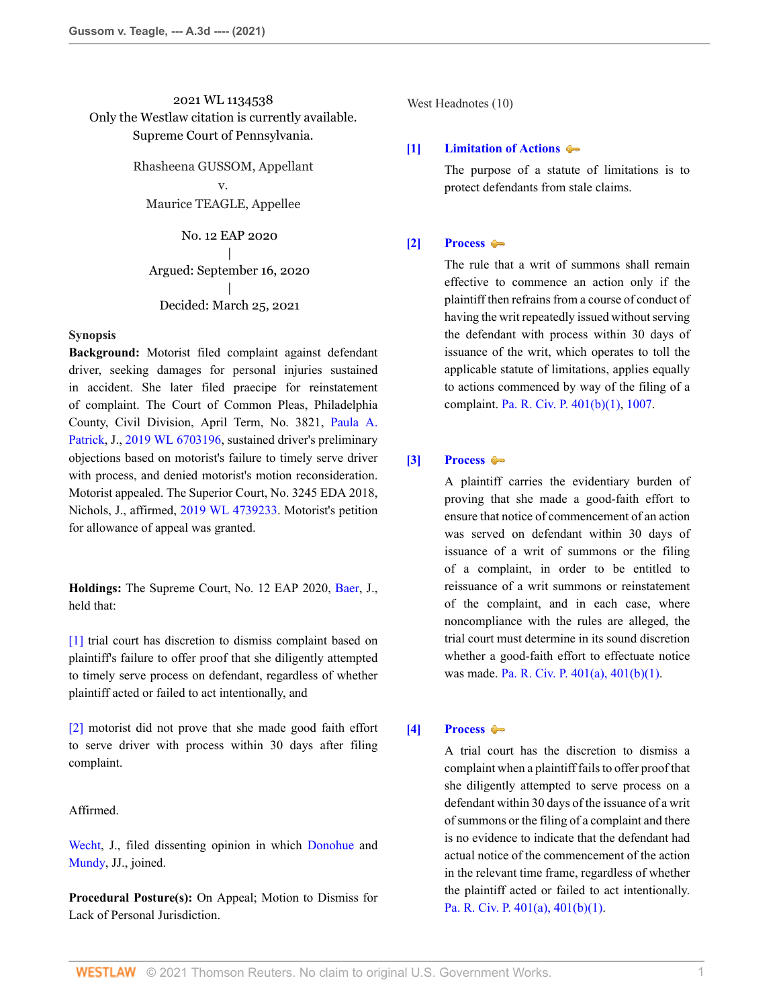# 2021 WL 1134538 Only the Westlaw citation is currently available. Supreme Court of Pennsylvania.

Rhasheena GUSSOM, Appellant v.

Maurice TEAGLE, Appellee

No. 12 EAP 2020 | Argued: September 16, 2020 | Decided: March 25, 2021

# **Synopsis**

**Background:** Motorist filed complaint against defendant driver, seeking damages for personal injuries sustained in accident. She later filed praecipe for reinstatement of complaint. The Court of Common Pleas, Philadelphia County, Civil Division, April Term, No. 3821, [Paula A.](http://www.westlaw.com/Link/Document/FullText?findType=h&pubNum=176284&cite=0294022701&originatingDoc=If51d35a08d7e11eb8c2cff889eaa90d0&refType=RQ&originationContext=document&vr=3.0&rs=cblt1.0&transitionType=DocumentItem&contextData=(sc.Search)) [Patrick](http://www.westlaw.com/Link/Document/FullText?findType=h&pubNum=176284&cite=0294022701&originatingDoc=If51d35a08d7e11eb8c2cff889eaa90d0&refType=RQ&originationContext=document&vr=3.0&rs=cblt1.0&transitionType=DocumentItem&contextData=(sc.Search)), J., [2019 WL 6703196,](http://www.westlaw.com/Link/Document/FullText?findType=Y&serNum=2049814698&pubNum=0000999&originatingDoc=If51d35a08d7e11eb8c2cff889eaa90d0&refType=RP&originationContext=document&vr=3.0&rs=cblt1.0&transitionType=DocumentItem&contextData=(sc.Search)) sustained driver's preliminary objections based on motorist's failure to timely serve driver with process, and denied motorist's motion reconsideration. Motorist appealed. The Superior Court, No. 3245 EDA 2018, Nichols, J., affirmed, [2019 WL 4739233](http://www.westlaw.com/Link/Document/FullText?findType=Y&serNum=2049288698&pubNum=0000999&originatingDoc=If51d35a08d7e11eb8c2cff889eaa90d0&refType=RP&originationContext=document&vr=3.0&rs=cblt1.0&transitionType=DocumentItem&contextData=(sc.Search)). Motorist's petition for allowance of appeal was granted.

**Holdings:** The Supreme Court, No. 12 EAP 2020, [Baer](http://www.westlaw.com/Link/Document/FullText?findType=h&pubNum=176284&cite=0243993601&originatingDoc=If51d35a08d7e11eb8c2cff889eaa90d0&refType=RQ&originationContext=document&vr=3.0&rs=cblt1.0&transitionType=DocumentItem&contextData=(sc.Search)), J., held that:

[\[1\]](#page-0-0) trial court has discretion to dismiss complaint based on plaintiff's failure to offer proof that she diligently attempted to timely serve process on defendant, regardless of whether plaintiff acted or failed to act intentionally, and

[\[2\]](#page-1-0) motorist did not prove that she made good faith effort to serve driver with process within 30 days after filing complaint.

Affirmed.

[Wecht](http://www.westlaw.com/Link/Document/FullText?findType=h&pubNum=176284&cite=0233113401&originatingDoc=If51d35a08d7e11eb8c2cff889eaa90d0&refType=RQ&originationContext=document&vr=3.0&rs=cblt1.0&transitionType=DocumentItem&contextData=(sc.Search)), J., filed dissenting opinion in which [Donohue](http://www.westlaw.com/Link/Document/FullText?findType=h&pubNum=176284&cite=0330011401&originatingDoc=If51d35a08d7e11eb8c2cff889eaa90d0&refType=RQ&originationContext=document&vr=3.0&rs=cblt1.0&transitionType=DocumentItem&contextData=(sc.Search)) and [Mundy,](http://www.westlaw.com/Link/Document/FullText?findType=h&pubNum=176284&cite=0143555101&originatingDoc=If51d35a08d7e11eb8c2cff889eaa90d0&refType=RQ&originationContext=document&vr=3.0&rs=cblt1.0&transitionType=DocumentItem&contextData=(sc.Search)) JJ., joined.

**Procedural Posture(s):** On Appeal; Motion to Dismiss for Lack of Personal Jurisdiction.

West Headnotes (10)

# <span id="page-0-1"></span>**[\[1\]](#page-2-0) [Limitation of Actions](http://www.westlaw.com/Browse/Home/KeyNumber/241/View.html?docGuid=If51d35a08d7e11eb8c2cff889eaa90d0&originationContext=document&vr=3.0&rs=cblt1.0&transitionType=DocumentItem&contextData=(sc.Search))**

The purpose of a statute of limitations is to protect defendants from stale claims.

## <span id="page-0-2"></span>**[\[2\]](#page-2-1) [Process](http://www.westlaw.com/Browse/Home/KeyNumber/313/View.html?docGuid=If51d35a08d7e11eb8c2cff889eaa90d0&originationContext=document&vr=3.0&rs=cblt1.0&transitionType=DocumentItem&contextData=(sc.Search))**

The rule that a writ of summons shall remain effective to commence an action only if the plaintiff then refrains from a course of conduct of having the writ repeatedly issued without serving the defendant with process within 30 days of issuance of the writ, which operates to toll the applicable statute of limitations, applies equally to actions commenced by way of the filing of a complaint. [Pa. R. Civ. P. 401\(b\)\(1\),](http://www.westlaw.com/Link/Document/FullText?findType=L&pubNum=1000781&cite=PASTRCPR401&originatingDoc=If51d35a08d7e11eb8c2cff889eaa90d0&refType=LQ&originationContext=document&vr=3.0&rs=cblt1.0&transitionType=DocumentItem&contextData=(sc.Search)) [1007.](http://www.westlaw.com/Link/Document/FullText?findType=L&pubNum=1000781&cite=PASTRCPR1007&originatingDoc=If51d35a08d7e11eb8c2cff889eaa90d0&refType=LQ&originationContext=document&vr=3.0&rs=cblt1.0&transitionType=DocumentItem&contextData=(sc.Search))

# <span id="page-0-3"></span>**[\[3\]](#page-2-2) [Process](http://www.westlaw.com/Browse/Home/KeyNumber/313/View.html?docGuid=If51d35a08d7e11eb8c2cff889eaa90d0&originationContext=document&vr=3.0&rs=cblt1.0&transitionType=DocumentItem&contextData=(sc.Search))**

A plaintiff carries the evidentiary burden of proving that she made a good-faith effort to ensure that notice of commencement of an action was served on defendant within 30 days of issuance of a writ of summons or the filing of a complaint, in order to be entitled to reissuance of a writ summons or reinstatement of the complaint, and in each case, where noncompliance with the rules are alleged, the trial court must determine in its sound discretion whether a good-faith effort to effectuate notice was made. [Pa. R. Civ. P. 401\(a\), 401\(b\)\(1\)](http://www.westlaw.com/Link/Document/FullText?findType=L&pubNum=1000781&cite=PASTRCPR401&originatingDoc=If51d35a08d7e11eb8c2cff889eaa90d0&refType=LQ&originationContext=document&vr=3.0&rs=cblt1.0&transitionType=DocumentItem&contextData=(sc.Search)).

## <span id="page-0-0"></span>**[\[4\]](#page-2-3) [Process](http://www.westlaw.com/Browse/Home/KeyNumber/313/View.html?docGuid=If51d35a08d7e11eb8c2cff889eaa90d0&originationContext=document&vr=3.0&rs=cblt1.0&transitionType=DocumentItem&contextData=(sc.Search))**

A trial court has the discretion to dismiss a complaint when a plaintiff fails to offer proof that she diligently attempted to serve process on a defendant within 30 days of the issuance of a writ of summons or the filing of a complaint and there is no evidence to indicate that the defendant had actual notice of the commencement of the action in the relevant time frame, regardless of whether the plaintiff acted or failed to act intentionally. [Pa. R. Civ. P. 401\(a\), 401\(b\)\(1\).](http://www.westlaw.com/Link/Document/FullText?findType=L&pubNum=1000781&cite=PASTRCPR401&originatingDoc=If51d35a08d7e11eb8c2cff889eaa90d0&refType=LQ&originationContext=document&vr=3.0&rs=cblt1.0&transitionType=DocumentItem&contextData=(sc.Search))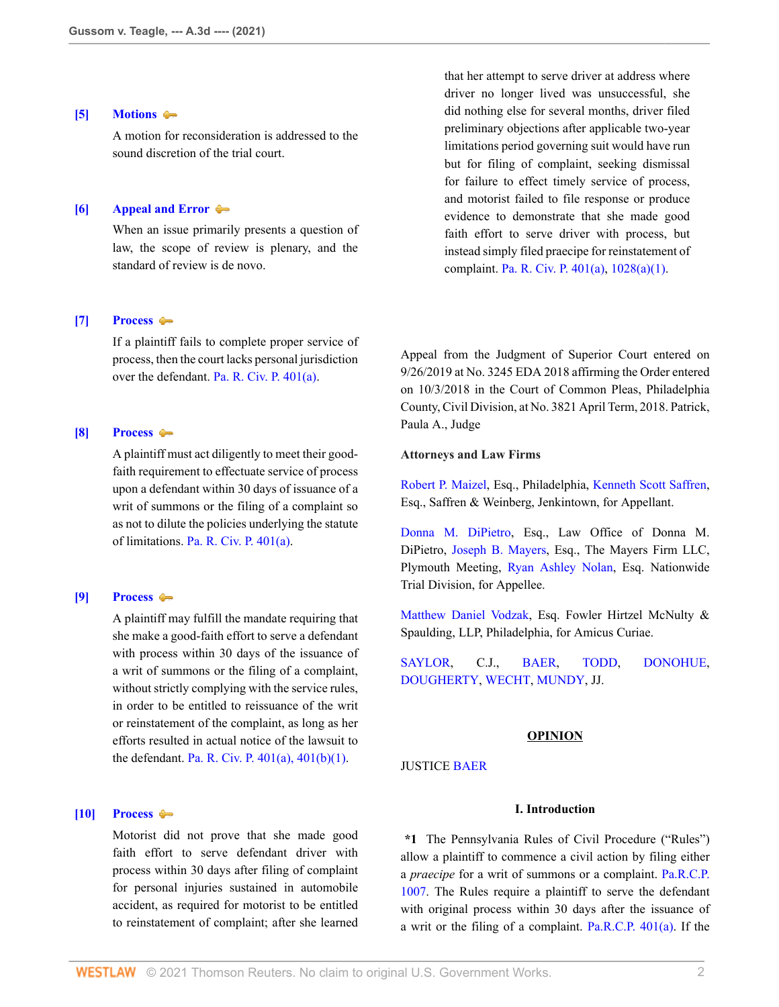## <span id="page-1-1"></span>**[\[5\]](#page-3-0) [Motions](http://www.westlaw.com/Browse/Home/KeyNumber/267/View.html?docGuid=If51d35a08d7e11eb8c2cff889eaa90d0&originationContext=document&vr=3.0&rs=cblt1.0&transitionType=DocumentItem&contextData=(sc.Search))**

A motion for reconsideration is addressed to the sound discretion of the trial court.

# <span id="page-1-2"></span>**[\[6\]](#page-5-0) [Appeal and Error](http://www.westlaw.com/Browse/Home/KeyNumber/30/View.html?docGuid=If51d35a08d7e11eb8c2cff889eaa90d0&originationContext=document&vr=3.0&rs=cblt1.0&transitionType=DocumentItem&contextData=(sc.Search))**

When an issue primarily presents a question of law, the scope of review is plenary, and the standard of review is de novo.

# <span id="page-1-3"></span>**[\[7\]](#page-6-0) [Process](http://www.westlaw.com/Browse/Home/KeyNumber/313/View.html?docGuid=If51d35a08d7e11eb8c2cff889eaa90d0&originationContext=document&vr=3.0&rs=cblt1.0&transitionType=DocumentItem&contextData=(sc.Search))**

If a plaintiff fails to complete proper service of process, then the court lacks personal jurisdiction over the defendant. [Pa. R. Civ. P. 401\(a\).](http://www.westlaw.com/Link/Document/FullText?findType=L&pubNum=1000781&cite=PASTRCPR401&originatingDoc=If51d35a08d7e11eb8c2cff889eaa90d0&refType=LQ&originationContext=document&vr=3.0&rs=cblt1.0&transitionType=DocumentItem&contextData=(sc.Search))

# <span id="page-1-4"></span>**[\[8\]](#page-7-0) [Process](http://www.westlaw.com/Browse/Home/KeyNumber/313/View.html?docGuid=If51d35a08d7e11eb8c2cff889eaa90d0&originationContext=document&vr=3.0&rs=cblt1.0&transitionType=DocumentItem&contextData=(sc.Search))**

A plaintiff must act diligently to meet their goodfaith requirement to effectuate service of process upon a defendant within 30 days of issuance of a writ of summons or the filing of a complaint so as not to dilute the policies underlying the statute of limitations. [Pa. R. Civ. P. 401\(a\)](http://www.westlaw.com/Link/Document/FullText?findType=L&pubNum=1000781&cite=PASTRCPR401&originatingDoc=If51d35a08d7e11eb8c2cff889eaa90d0&refType=LQ&originationContext=document&vr=3.0&rs=cblt1.0&transitionType=DocumentItem&contextData=(sc.Search)).

# <span id="page-1-5"></span>**[\[9\]](#page-8-0) [Process](http://www.westlaw.com/Browse/Home/KeyNumber/313/View.html?docGuid=If51d35a08d7e11eb8c2cff889eaa90d0&originationContext=document&vr=3.0&rs=cblt1.0&transitionType=DocumentItem&contextData=(sc.Search))**

A plaintiff may fulfill the mandate requiring that she make a good-faith effort to serve a defendant with process within 30 days of the issuance of a writ of summons or the filing of a complaint, without strictly complying with the service rules, in order to be entitled to reissuance of the writ or reinstatement of the complaint, as long as her efforts resulted in actual notice of the lawsuit to the defendant. [Pa. R. Civ. P. 401\(a\), 401\(b\)\(1\).](http://www.westlaw.com/Link/Document/FullText?findType=L&pubNum=1000781&cite=PASTRCPR401&originatingDoc=If51d35a08d7e11eb8c2cff889eaa90d0&refType=LQ&originationContext=document&vr=3.0&rs=cblt1.0&transitionType=DocumentItem&contextData=(sc.Search))

# <span id="page-1-0"></span>**[\[10\]](#page-8-1) [Process](http://www.westlaw.com/Browse/Home/KeyNumber/313/View.html?docGuid=If51d35a08d7e11eb8c2cff889eaa90d0&originationContext=document&vr=3.0&rs=cblt1.0&transitionType=DocumentItem&contextData=(sc.Search))**

Motorist did not prove that she made good faith effort to serve defendant driver with process within 30 days after filing of complaint for personal injuries sustained in automobile accident, as required for motorist to be entitled to reinstatement of complaint; after she learned

that her attempt to serve driver at address where driver no longer lived was unsuccessful, she did nothing else for several months, driver filed preliminary objections after applicable two-year limitations period governing suit would have run but for filing of complaint, seeking dismissal for failure to effect timely service of process, and motorist failed to file response or produce evidence to demonstrate that she made good faith effort to serve driver with process, but instead simply filed praecipe for reinstatement of complaint. [Pa. R. Civ. P. 401\(a\)](http://www.westlaw.com/Link/Document/FullText?findType=L&pubNum=1000781&cite=PASTRCPR401&originatingDoc=If51d35a08d7e11eb8c2cff889eaa90d0&refType=LQ&originationContext=document&vr=3.0&rs=cblt1.0&transitionType=DocumentItem&contextData=(sc.Search)), [1028\(a\)\(1\)](http://www.westlaw.com/Link/Document/FullText?findType=L&pubNum=1000781&cite=PASTRCPR1028&originatingDoc=If51d35a08d7e11eb8c2cff889eaa90d0&refType=LQ&originationContext=document&vr=3.0&rs=cblt1.0&transitionType=DocumentItem&contextData=(sc.Search)).

Appeal from the Judgment of Superior Court entered on 9/26/2019 at No. 3245 EDA 2018 affirming the Order entered on 10/3/2018 in the Court of Common Pleas, Philadelphia County, Civil Division, at No. 3821 April Term, 2018. Patrick, Paula A., Judge

# **Attorneys and Law Firms**

[Robert P. Maizel,](http://www.westlaw.com/Link/Document/FullText?findType=h&pubNum=176284&cite=0326668001&originatingDoc=If51d35a08d7e11eb8c2cff889eaa90d0&refType=RQ&originationContext=document&vr=3.0&rs=cblt1.0&transitionType=DocumentItem&contextData=(sc.Search)) Esq., Philadelphia, [Kenneth Scott Saffren](http://www.westlaw.com/Link/Document/FullText?findType=h&pubNum=176284&cite=0342539401&originatingDoc=If51d35a08d7e11eb8c2cff889eaa90d0&refType=RQ&originationContext=document&vr=3.0&rs=cblt1.0&transitionType=DocumentItem&contextData=(sc.Search)), Esq., Saffren & Weinberg, Jenkintown, for Appellant.

[Donna M. DiPietro,](http://www.westlaw.com/Link/Document/FullText?findType=h&pubNum=176284&cite=0280731501&originatingDoc=If51d35a08d7e11eb8c2cff889eaa90d0&refType=RQ&originationContext=document&vr=3.0&rs=cblt1.0&transitionType=DocumentItem&contextData=(sc.Search)) Esq., Law Office of Donna M. DiPietro, [Joseph B. Mayers,](http://www.westlaw.com/Link/Document/FullText?findType=h&pubNum=176284&cite=0177239001&originatingDoc=If51d35a08d7e11eb8c2cff889eaa90d0&refType=RQ&originationContext=document&vr=3.0&rs=cblt1.0&transitionType=DocumentItem&contextData=(sc.Search)) Esq., The Mayers Firm LLC, Plymouth Meeting, [Ryan Ashley Nolan,](http://www.westlaw.com/Link/Document/FullText?findType=h&pubNum=176284&cite=0470725001&originatingDoc=If51d35a08d7e11eb8c2cff889eaa90d0&refType=RQ&originationContext=document&vr=3.0&rs=cblt1.0&transitionType=DocumentItem&contextData=(sc.Search)) Esq. Nationwide Trial Division, for Appellee.

[Matthew Daniel Vodzak,](http://www.westlaw.com/Link/Document/FullText?findType=h&pubNum=176284&cite=0494811799&originatingDoc=If51d35a08d7e11eb8c2cff889eaa90d0&refType=RQ&originationContext=document&vr=3.0&rs=cblt1.0&transitionType=DocumentItem&contextData=(sc.Search)) Esq. Fowler Hirtzel McNulty & Spaulding, LLP, Philadelphia, for Amicus Curiae.

[SAYLOR](http://www.westlaw.com/Link/Document/FullText?findType=h&pubNum=176284&cite=0192902301&originatingDoc=If51d35a08d7e11eb8c2cff889eaa90d0&refType=RQ&originationContext=document&vr=3.0&rs=cblt1.0&transitionType=DocumentItem&contextData=(sc.Search)), C.J., [BAER](http://www.westlaw.com/Link/Document/FullText?findType=h&pubNum=176284&cite=0243993601&originatingDoc=If51d35a08d7e11eb8c2cff889eaa90d0&refType=RQ&originationContext=document&vr=3.0&rs=cblt1.0&transitionType=DocumentItem&contextData=(sc.Search)), [TODD,](http://www.westlaw.com/Link/Document/FullText?findType=h&pubNum=176284&cite=0122314401&originatingDoc=If51d35a08d7e11eb8c2cff889eaa90d0&refType=RQ&originationContext=document&vr=3.0&rs=cblt1.0&transitionType=DocumentItem&contextData=(sc.Search)) [DONOHUE,](http://www.westlaw.com/Link/Document/FullText?findType=h&pubNum=176284&cite=0330011401&originatingDoc=If51d35a08d7e11eb8c2cff889eaa90d0&refType=RQ&originationContext=document&vr=3.0&rs=cblt1.0&transitionType=DocumentItem&contextData=(sc.Search)) [DOUGHERTY,](http://www.westlaw.com/Link/Document/FullText?findType=h&pubNum=176284&cite=0331102601&originatingDoc=If51d35a08d7e11eb8c2cff889eaa90d0&refType=RQ&originationContext=document&vr=3.0&rs=cblt1.0&transitionType=DocumentItem&contextData=(sc.Search)) [WECHT](http://www.westlaw.com/Link/Document/FullText?findType=h&pubNum=176284&cite=0233113401&originatingDoc=If51d35a08d7e11eb8c2cff889eaa90d0&refType=RQ&originationContext=document&vr=3.0&rs=cblt1.0&transitionType=DocumentItem&contextData=(sc.Search)), [MUNDY,](http://www.westlaw.com/Link/Document/FullText?findType=h&pubNum=176284&cite=0143555101&originatingDoc=If51d35a08d7e11eb8c2cff889eaa90d0&refType=RQ&originationContext=document&vr=3.0&rs=cblt1.0&transitionType=DocumentItem&contextData=(sc.Search)) JJ.

# **OPINION**

#### JUSTICE [BAER](http://www.westlaw.com/Link/Document/FullText?findType=h&pubNum=176284&cite=0243993601&originatingDoc=If51d35a08d7e11eb8c2cff889eaa90d0&refType=RQ&originationContext=document&vr=3.0&rs=cblt1.0&transitionType=DocumentItem&contextData=(sc.Search))

## **I. Introduction**

**\*1** The Pennsylvania Rules of Civil Procedure ("Rules") allow a plaintiff to commence a civil action by filing either a *praecipe* for a writ of summons or a complaint. [Pa.R.C.P.](http://www.westlaw.com/Link/Document/FullText?findType=L&pubNum=1000781&cite=PASTRCPR1007&originatingDoc=If51d35a08d7e11eb8c2cff889eaa90d0&refType=LQ&originationContext=document&vr=3.0&rs=cblt1.0&transitionType=DocumentItem&contextData=(sc.Search)) [1007](http://www.westlaw.com/Link/Document/FullText?findType=L&pubNum=1000781&cite=PASTRCPR1007&originatingDoc=If51d35a08d7e11eb8c2cff889eaa90d0&refType=LQ&originationContext=document&vr=3.0&rs=cblt1.0&transitionType=DocumentItem&contextData=(sc.Search)). The Rules require a plaintiff to serve the defendant with original process within 30 days after the issuance of a writ or the filing of a complaint. [Pa.R.C.P. 401\(a\)](http://www.westlaw.com/Link/Document/FullText?findType=L&pubNum=1000781&cite=PASTRCPR401&originatingDoc=If51d35a08d7e11eb8c2cff889eaa90d0&refType=LQ&originationContext=document&vr=3.0&rs=cblt1.0&transitionType=DocumentItem&contextData=(sc.Search)). If the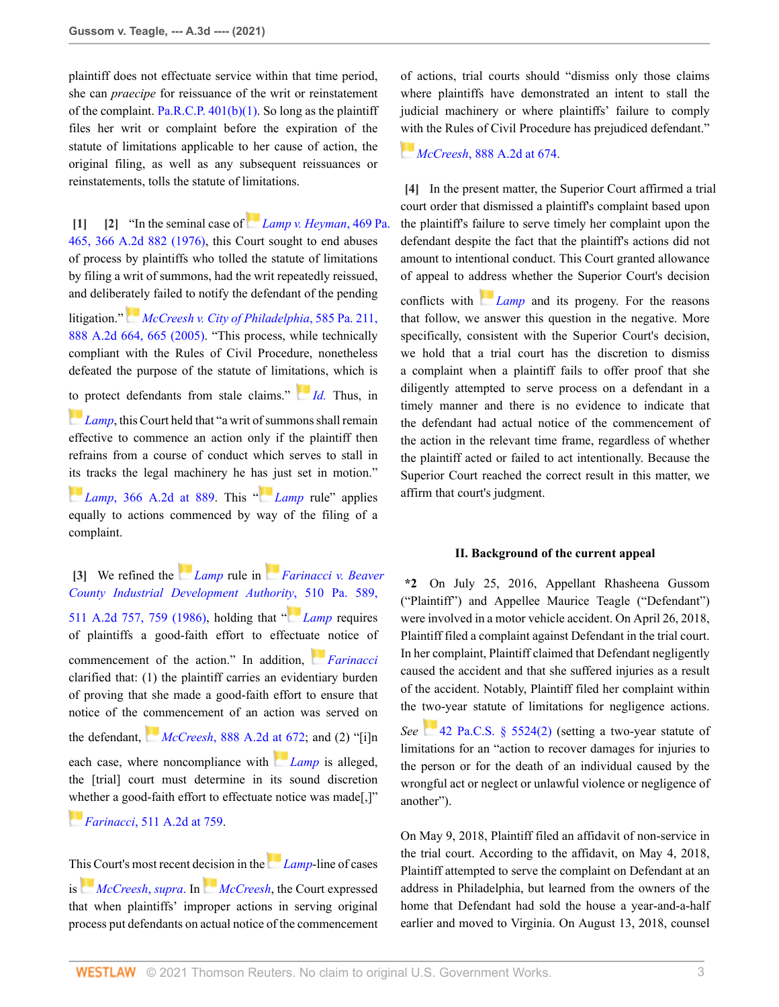plaintiff does not effectuate service within that time period, she can *praecipe* for reissuance of the writ or reinstatement of the complaint. Pa.R.C.P.  $401(b)(1)$ . So long as the plaintiff files her writ or complaint before the expiration of the statute of limitations applicable to her cause of action, the original filing, as well as any subsequent reissuances or reinstatements, tolls the statute of limitations.

<span id="page-2-1"></span><span id="page-2-0"></span>**[\[1\]](#page-0-1) [\[2](#page-0-2)]** "In the seminal case of *[Lamp v. Heyman](http://www.westlaw.com/Link/Document/FullText?findType=Y&serNum=1976122354&pubNum=0000162&originatingDoc=If51d35a08d7e11eb8c2cff889eaa90d0&refType=RP&originationContext=document&vr=3.0&rs=cblt1.0&transitionType=DocumentItem&contextData=(sc.Search))*, 469 Pa. [465, 366 A.2d 882 \(1976\)](http://www.westlaw.com/Link/Document/FullText?findType=Y&serNum=1976122354&pubNum=0000162&originatingDoc=If51d35a08d7e11eb8c2cff889eaa90d0&refType=RP&originationContext=document&vr=3.0&rs=cblt1.0&transitionType=DocumentItem&contextData=(sc.Search)), this Court sought to end abuses of process by plaintiffs who tolled the statute of limitations by filing a writ of summons, had the writ repeatedly reissued, and deliber[atel](https://1.next.westlaw.com/Link/RelatedInformation/Flag?documentGuid=I026a95ec778b11da8ccab4c14e983401&transitionType=InlineKeyCiteFlags&originationContext=docHeaderFlag&Rank=0&contextData=(sc.Search) )y failed to notify the defendant of the pending

litigation." *[McCreesh v. City of Philadelphia](http://www.westlaw.com/Link/Document/FullText?findType=Y&serNum=2007972629&pubNum=0000162&originatingDoc=If51d35a08d7e11eb8c2cff889eaa90d0&refType=RP&fi=co_pp_sp_162_665&originationContext=document&vr=3.0&rs=cblt1.0&transitionType=DocumentItem&contextData=(sc.Search)#co_pp_sp_162_665)*, 585 Pa. 211, [888 A.2d 664, 665 \(2005\).](http://www.westlaw.com/Link/Document/FullText?findType=Y&serNum=2007972629&pubNum=0000162&originatingDoc=If51d35a08d7e11eb8c2cff889eaa90d0&refType=RP&fi=co_pp_sp_162_665&originationContext=document&vr=3.0&rs=cblt1.0&transitionType=DocumentItem&contextData=(sc.Search)#co_pp_sp_162_665) "This process, while technically compliant with the Rules of Civil Procedure, nonetheless defeated the purpose of the statute of limit[atio](https://1.next.westlaw.com/Link/RelatedInformation/Flag?documentGuid=I026a95ec778b11da8ccab4c14e983401&transitionType=InlineKeyCiteFlags&originationContext=docHeaderFlag&Rank=0&contextData=(sc.Search) )ns, which is [to p](https://1.next.westlaw.com/Link/RelatedInformation/Flag?documentGuid=I5710abaa343d11d98b61a35269fc5f88&transitionType=InlineKeyCiteFlags&originationContext=docHeaderFlag&Rank=0&contextData=(sc.Search) )rotect defendants from stale claims." *[Id.](http://www.westlaw.com/Link/Document/FullText?findType=Y&serNum=2007972629&pubNum=0000651&originatingDoc=If51d35a08d7e11eb8c2cff889eaa90d0&refType=RP&originationContext=document&vr=3.0&rs=cblt1.0&transitionType=DocumentItem&contextData=(sc.Search))* Thus, in *[Lamp](http://www.westlaw.com/Link/Document/FullText?findType=Y&serNum=1976122354&pubNum=0000162&originatingDoc=If51d35a08d7e11eb8c2cff889eaa90d0&refType=RP&originationContext=document&vr=3.0&rs=cblt1.0&transitionType=DocumentItem&contextData=(sc.Search))*, this Court held that "a writ of summons shall remain effective to commence an action only if the plaintiff then refrains from a course of conduct which serves to stall in [its](https://1.next.westlaw.com/Link/RelatedInformation/Flag?documentGuid=I5710abaa343d11d98b61a35269fc5f88&transitionType=InlineKeyCiteFlags&originationContext=docHeaderFlag&Rank=0&contextData=(sc.Search) ) tracks the legal machinery he h[as j](https://1.next.westlaw.com/Link/RelatedInformation/Flag?documentGuid=I5710abaa343d11d98b61a35269fc5f88&transitionType=InlineKeyCiteFlags&originationContext=docHeaderFlag&Rank=0&contextData=(sc.Search) )ust set in motion." *[Lamp](http://www.westlaw.com/Link/Document/FullText?findType=Y&serNum=1976122354&pubNum=0000162&originatingDoc=If51d35a08d7e11eb8c2cff889eaa90d0&refType=RP&originationContext=document&vr=3.0&rs=cblt1.0&transitionType=DocumentItem&contextData=(sc.Search))*[, 366 A.2d at 889.](http://www.westlaw.com/Link/Document/FullText?findType=Y&serNum=1976122354&pubNum=0000162&originatingDoc=If51d35a08d7e11eb8c2cff889eaa90d0&refType=RP&fi=co_pp_sp_162_889&originationContext=document&vr=3.0&rs=cblt1.0&transitionType=DocumentItem&contextData=(sc.Search)#co_pp_sp_162_889) This "*Lamp* rule" applies

equally to actions commenced by way of the filing of a complaint.

<span id="page-2-2"></span>**[\[3\]](#page-0-3)** We refined the *[Lamp](http://www.westlaw.com/Link/Document/FullText?findType=Y&serNum=1976122354&pubNum=0000162&originatingDoc=If51d35a08d7e11eb8c2cff889eaa90d0&refType=RP&originationContext=document&vr=3.0&rs=cblt1.0&transitionType=DocumentItem&contextData=(sc.Search))* rule in *[Farinacci v. Beaver](http://www.westlaw.com/Link/Document/FullText?findType=Y&serNum=1986132548&pubNum=0000162&originatingDoc=If51d35a08d7e11eb8c2cff889eaa90d0&refType=RP&fi=co_pp_sp_162_759&originationContext=document&vr=3.0&rs=cblt1.0&transitionType=DocumentItem&contextData=(sc.Search)#co_pp_sp_162_759) [County Industrial Development Authority](http://www.westlaw.com/Link/Document/FullText?findType=Y&serNum=1986132548&pubNum=0000162&originatingDoc=If51d35a08d7e11eb8c2cff889eaa90d0&refType=RP&fi=co_pp_sp_162_759&originationContext=document&vr=3.0&rs=cblt1.0&transitionType=DocumentItem&contextData=(sc.Search)#co_pp_sp_162_759)*[,](https://1.next.westlaw.com/Link/RelatedInformation/Flag?documentGuid=I5710abaa343d11d98b61a35269fc5f88&transitionType=InlineKeyCiteFlags&originationContext=docHeaderFlag&Rank=0&contextData=(sc.Search) ) 510 Pa. 589, [511 A.2d 757, 759 \(1986\)](http://www.westlaw.com/Link/Document/FullText?findType=Y&serNum=1986132548&pubNum=0000162&originatingDoc=If51d35a08d7e11eb8c2cff889eaa90d0&refType=RP&fi=co_pp_sp_162_759&originationContext=document&vr=3.0&rs=cblt1.0&transitionType=DocumentItem&contextData=(sc.Search)#co_pp_sp_162_759), holding that " *[Lamp](http://www.westlaw.com/Link/Document/FullText?findType=Y&serNum=1976122354&pubNum=0000162&originatingDoc=If51d35a08d7e11eb8c2cff889eaa90d0&refType=RP&originationContext=document&vr=3.0&rs=cblt1.0&transitionType=DocumentItem&contextData=(sc.Search))* requires of plaintiffs a good-faith effort to effectua[te n](https://1.next.westlaw.com/Link/RelatedInformation/Flag?documentGuid=I71c4bab6349511d98b61a35269fc5f88&transitionType=InlineKeyCiteFlags&originationContext=docHeaderFlag&Rank=0&contextData=(sc.Search) )otice of commencement of the action." In addition, *[Farinacci](http://www.westlaw.com/Link/Document/FullText?findType=Y&serNum=1986132548&pubNum=0000162&originatingDoc=If51d35a08d7e11eb8c2cff889eaa90d0&refType=RP&originationContext=document&vr=3.0&rs=cblt1.0&transitionType=DocumentItem&contextData=(sc.Search))* clarified that: (1) the plaintiff carries an evidentiary burden of proving that she made a good-faith effort to ensure that notice of the [com](https://1.next.westlaw.com/Link/RelatedInformation/Flag?documentGuid=I026a95ec778b11da8ccab4c14e983401&transitionType=InlineKeyCiteFlags&originationContext=docHeaderFlag&Rank=0&contextData=(sc.Search) )mencement of an action was served on the defendant, *McCreesh*[, 888 A.2d at 672;](http://www.westlaw.com/Link/Document/FullText?findType=Y&serNum=2007972629&pubNum=0000162&originatingDoc=If51d35a08d7e11eb8c2cff889eaa90d0&refType=RP&fi=co_pp_sp_162_672&originationContext=document&vr=3.0&rs=cblt1.0&transitionType=DocumentItem&contextData=(sc.Search)#co_pp_sp_162_672) and (2) "[i]n each case, where noncompliance with *[Lamp](http://www.westlaw.com/Link/Document/FullText?findType=Y&serNum=1976122354&pubNum=0000162&originatingDoc=If51d35a08d7e11eb8c2cff889eaa90d0&refType=RP&originationContext=document&vr=3.0&rs=cblt1.0&transitionType=DocumentItem&contextData=(sc.Search))* is alleged, the [trial] court must determine in its sound discretion [whe](https://1.next.westlaw.com/Link/RelatedInformation/Flag?documentGuid=I71c4bab6349511d98b61a35269fc5f88&transitionType=InlineKeyCiteFlags&originationContext=docHeaderFlag&Rank=0&contextData=(sc.Search) )ther a good-faith effort to effectuate notice was made[,]"

*Farinacci*[, 511 A.2d at 759](http://www.westlaw.com/Link/Document/FullText?findType=Y&serNum=1986132548&pubNum=0000162&originatingDoc=If51d35a08d7e11eb8c2cff889eaa90d0&refType=RP&fi=co_pp_sp_162_759&originationContext=document&vr=3.0&rs=cblt1.0&transitionType=DocumentItem&contextData=(sc.Search)#co_pp_sp_162_759).

T[his C](https://1.next.westlaw.com/Link/RelatedInformation/Flag?documentGuid=I026a95ec778b11da8ccab4c14e983401&transitionType=InlineKeyCiteFlags&originationContext=docHeaderFlag&Rank=0&contextData=(sc.Search) )ourt's most recent d[ecisi](https://1.next.westlaw.com/Link/RelatedInformation/Flag?documentGuid=I026a95ec778b11da8ccab4c14e983401&transitionType=InlineKeyCiteFlags&originationContext=docHeaderFlag&Rank=0&contextData=(sc.Search) )on in the*[Lamp](http://www.westlaw.com/Link/Document/FullText?findType=Y&serNum=1976122354&originatingDoc=If51d35a08d7e11eb8c2cff889eaa90d0&refType=RP&originationContext=document&vr=3.0&rs=cblt1.0&transitionType=DocumentItem&contextData=(sc.Search))*-line of cases is *[McCreesh](http://www.westlaw.com/Link/Document/FullText?findType=Y&serNum=2007972629&pubNum=0000162&originatingDoc=If51d35a08d7e11eb8c2cff889eaa90d0&refType=RP&originationContext=document&vr=3.0&rs=cblt1.0&transitionType=DocumentItem&contextData=(sc.Search))*, *supra*. In *[McCreesh](http://www.westlaw.com/Link/Document/FullText?findType=Y&serNum=2007972629&pubNum=0000162&originatingDoc=If51d35a08d7e11eb8c2cff889eaa90d0&refType=RP&originationContext=document&vr=3.0&rs=cblt1.0&transitionType=DocumentItem&contextData=(sc.Search))*, the Court expressed that when plaintiffs' improper actions in serving original process put defendants on actual notice of the commencement of actions, trial courts should "dismiss only those claims where plaintiffs have demonstrated an intent to stall the judicial machinery or where plaintiffs' failure to comply [with](https://1.next.westlaw.com/Link/RelatedInformation/Flag?documentGuid=I026a95ec778b11da8ccab4c14e983401&transitionType=InlineKeyCiteFlags&originationContext=docHeaderFlag&Rank=0&contextData=(sc.Search) ) the Rules of Civil Procedure has prejudiced defendant."

# *McCreesh*[, 888 A.2d at 674.](http://www.westlaw.com/Link/Document/FullText?findType=Y&serNum=2007972629&pubNum=0000162&originatingDoc=If51d35a08d7e11eb8c2cff889eaa90d0&refType=RP&fi=co_pp_sp_162_674&originationContext=document&vr=3.0&rs=cblt1.0&transitionType=DocumentItem&contextData=(sc.Search)#co_pp_sp_162_674)

<span id="page-2-3"></span>**[\[4\]](#page-0-0)** In the present matter, the Superior Court affirmed a trial court order that dismissed a plaintiff's complaint based upon the plaintiff's failure to serve timely her complaint upon the defendant despite the fact that the plaintiff's actions did not amount to intentional conduct. This Court granted allowance of appeal to a[ddre](https://1.next.westlaw.com/Link/RelatedInformation/Flag?documentGuid=I5710abaa343d11d98b61a35269fc5f88&transitionType=InlineKeyCiteFlags&originationContext=docHeaderFlag&Rank=0&contextData=(sc.Search) )ss whether the Superior Court's decision

conflicts with *[Lamp](http://www.westlaw.com/Link/Document/FullText?findType=Y&serNum=1976122354&pubNum=0000162&originatingDoc=If51d35a08d7e11eb8c2cff889eaa90d0&refType=RP&originationContext=document&vr=3.0&rs=cblt1.0&transitionType=DocumentItem&contextData=(sc.Search))* and its progeny. For the reasons that follow, we answer this question in the negative. More specifically, consistent with the Superior Court's decision, we hold that a trial court has the discretion to dismiss a complaint when a plaintiff fails to offer proof that she diligently attempted to serve process on a defendant in a timely manner and there is no evidence to indicate that the defendant had actual notice of the commencement of the action in the relevant time frame, regardless of whether the plaintiff acted or failed to act intentionally. Because the Superior Court reached the correct result in this matter, we affirm that court's judgment.

# **II. Background of the current appeal**

**\*2** On July 25, 2016, Appellant Rhasheena Gussom ("Plaintiff") and Appellee Maurice Teagle ("Defendant") were involved in a motor vehicle accident. On April 26, 2018, Plaintiff filed a complaint against Defendant in the trial court. In her complaint, Plaintiff claimed that Defendant negligently caused the accident and that she suffered injuries as a result of the accident. Notably, Plaintiff filed her complaint within the [two](https://1.next.westlaw.com/Link/RelatedInformation/Flag?documentGuid=N45E3AB30B9E311E38D8E8F895E51E801&transitionType=InlineKeyCiteFlags&originationContext=docHeaderFlag&Rank=0&contextData=(sc.Search) )-year statute of limitations for negligence actions.

*See* [42 Pa.C.S. § 5524\(2\)](http://www.westlaw.com/Link/Document/FullText?findType=L&pubNum=1000262&cite=PA42S5524&originatingDoc=If51d35a08d7e11eb8c2cff889eaa90d0&refType=SP&originationContext=document&vr=3.0&rs=cblt1.0&transitionType=DocumentItem&contextData=(sc.Search)#co_pp_58730000872b1) (setting a two-year statute of limitations for an "action to recover damages for injuries to the person or for the death of an individual caused by the wrongful act or neglect or unlawful violence or negligence of another").

On May 9, 2018, Plaintiff filed an affidavit of non-service in the trial court. According to the affidavit, on May 4, 2018, Plaintiff attempted to serve the complaint on Defendant at an address in Philadelphia, but learned from the owners of the home that Defendant had sold the house a year-and-a-half earlier and moved to Virginia. On August 13, 2018, counsel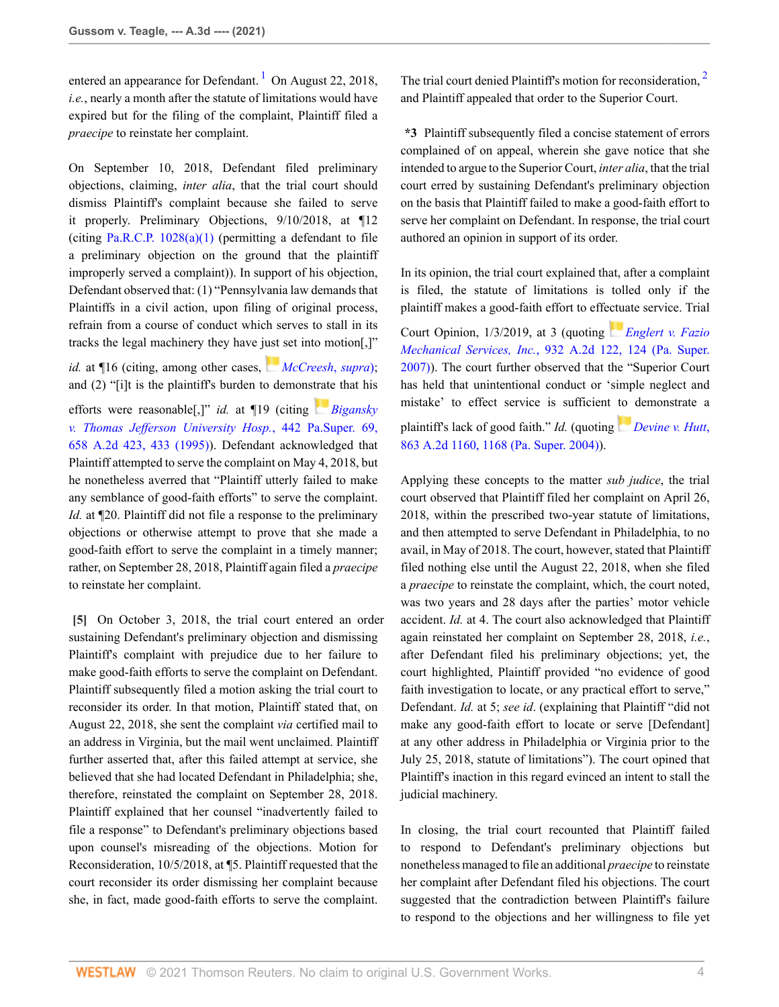entered an appearance for Defendant.<sup>[1](#page-11-0)</sup> On August 22, 2018, *i.e.*, nearly a month after the statute of limitations would have expired but for the filing of the complaint, Plaintiff filed a *praecipe* to reinstate her complaint.

On September 10, 2018, Defendant filed preliminary objections, claiming, *inter alia*, that the trial court should dismiss Plaintiff's complaint because she failed to serve it properly. Preliminary Objections, 9/10/2018, at ¶12 (citing Pa.R.C.P.  $1028(a)(1)$ ) (permitting a defendant to file a preliminary objection on the ground that the plaintiff improperly served a complaint)). In support of his objection, Defendant observed that: (1) "Pennsylvania law demands that Plaintiffs in a civil action, upon filing of original process, refrain from a course of conduct which serves to stall in its tracks the legal machinery they have j[ust](https://1.next.westlaw.com/Link/RelatedInformation/Flag?documentGuid=I026a95ec778b11da8ccab4c14e983401&transitionType=InlineKeyCiteFlags&originationContext=docHeaderFlag&Rank=0&contextData=(sc.Search) ) set into motion[,]"

*id.* at ¶16 (citing, among other cases, *[McCreesh](http://www.westlaw.com/Link/Document/FullText?findType=Y&serNum=2007972629&pubNum=0000162&originatingDoc=If51d35a08d7e11eb8c2cff889eaa90d0&refType=RP&originationContext=document&vr=3.0&rs=cblt1.0&transitionType=DocumentItem&contextData=(sc.Search))*, *supra*); and (2) "[i]t is the plaintiff's burden to demons[trate](https://1.next.westlaw.com/Link/RelatedInformation/Flag?documentGuid=Ia1cf37dd355311d9abe5ec754599669c&transitionType=InlineKeyCiteFlags&originationContext=docHeaderFlag&Rank=0&contextData=(sc.Search) ) that his efforts were reasonable[,]" *id.* at ¶19 (citing *[Bigansky](http://www.westlaw.com/Link/Document/FullText?findType=Y&serNum=1995109148&pubNum=0000162&originatingDoc=If51d35a08d7e11eb8c2cff889eaa90d0&refType=RP&fi=co_pp_sp_162_433&originationContext=document&vr=3.0&rs=cblt1.0&transitionType=DocumentItem&contextData=(sc.Search)#co_pp_sp_162_433) [v. Thomas Jefferson University Hosp.](http://www.westlaw.com/Link/Document/FullText?findType=Y&serNum=1995109148&pubNum=0000162&originatingDoc=If51d35a08d7e11eb8c2cff889eaa90d0&refType=RP&fi=co_pp_sp_162_433&originationContext=document&vr=3.0&rs=cblt1.0&transitionType=DocumentItem&contextData=(sc.Search)#co_pp_sp_162_433)*, 442 Pa.Super. 69, [658 A.2d 423, 433 \(1995\)](http://www.westlaw.com/Link/Document/FullText?findType=Y&serNum=1995109148&pubNum=0000162&originatingDoc=If51d35a08d7e11eb8c2cff889eaa90d0&refType=RP&fi=co_pp_sp_162_433&originationContext=document&vr=3.0&rs=cblt1.0&transitionType=DocumentItem&contextData=(sc.Search)#co_pp_sp_162_433)). Defendant acknowledged that Plaintiff attempted to serve the complaint on May 4, 2018, but he nonetheless averred that "Plaintiff utterly failed to make any semblance of good-faith efforts" to serve the complaint. *Id.* at  $\P$ 20. Plaintiff did not file a response to the preliminary objections or otherwise attempt to prove that she made a good-faith effort to serve the complaint in a timely manner; rather, on September 28, 2018, Plaintiff again filed a *praecipe* to reinstate her complaint.

<span id="page-3-0"></span>**[\[5\]](#page-1-1)** On October 3, 2018, the trial court entered an order sustaining Defendant's preliminary objection and dismissing Plaintiff's complaint with prejudice due to her failure to make good-faith efforts to serve the complaint on Defendant. Plaintiff subsequently filed a motion asking the trial court to reconsider its order. In that motion, Plaintiff stated that, on August 22, 2018, she sent the complaint *via* certified mail to an address in Virginia, but the mail went unclaimed. Plaintiff further asserted that, after this failed attempt at service, she believed that she had located Defendant in Philadelphia; she, therefore, reinstated the complaint on September 28, 2018. Plaintiff explained that her counsel "inadvertently failed to file a response" to Defendant's preliminary objections based upon counsel's misreading of the objections. Motion for Reconsideration, 10/5/2018, at ¶5. Plaintiff requested that the court reconsider its order dismissing her complaint because she, in fact, made good-faith efforts to serve the complaint.

<span id="page-3-2"></span><span id="page-3-1"></span>The trial court denied Plaintiff's motion for reconsideration.<sup>[2](#page-11-1)</sup> and Plaintiff appealed that order to the Superior Court.

**\*3** Plaintiff subsequently filed a concise statement of errors complained of on appeal, wherein she gave notice that she intended to argue to the Superior Court, *inter alia*, that the trial court erred by sustaining Defendant's preliminary objection on the basis that Plaintiff failed to make a good-faith effort to serve her complaint on Defendant. In response, the trial court authored an opinion in support of its order.

In its opinion, the trial court explained that, after a complaint is filed, the statute of limitations is tolled only if the plaintiff makes a good-faith effort to eff[ectua](https://1.next.westlaw.com/Link/RelatedInformation/Flag?documentGuid=I8bcf2aa641dd11dcab5dc95700b89bde&transitionType=InlineKeyCiteFlags&originationContext=docHeaderFlag&Rank=0&contextData=(sc.Search) )te service. Trial

Court Opinion, 1/3/2019, at 3 (quoting *[Englert v. Fazio](http://www.westlaw.com/Link/Document/FullText?findType=Y&serNum=2012846930&pubNum=0000162&originatingDoc=If51d35a08d7e11eb8c2cff889eaa90d0&refType=RP&fi=co_pp_sp_162_124&originationContext=document&vr=3.0&rs=cblt1.0&transitionType=DocumentItem&contextData=(sc.Search)#co_pp_sp_162_124) Mechanical Services, Inc.*[, 932 A.2d 122, 124 \(Pa. Super.](http://www.westlaw.com/Link/Document/FullText?findType=Y&serNum=2012846930&pubNum=0000162&originatingDoc=If51d35a08d7e11eb8c2cff889eaa90d0&refType=RP&fi=co_pp_sp_162_124&originationContext=document&vr=3.0&rs=cblt1.0&transitionType=DocumentItem&contextData=(sc.Search)#co_pp_sp_162_124) [2007\)](http://www.westlaw.com/Link/Document/FullText?findType=Y&serNum=2012846930&pubNum=0000162&originatingDoc=If51d35a08d7e11eb8c2cff889eaa90d0&refType=RP&fi=co_pp_sp_162_124&originationContext=document&vr=3.0&rs=cblt1.0&transitionType=DocumentItem&contextData=(sc.Search)#co_pp_sp_162_124)). The court further observed that the "Superior Court has held that unintentional conduct or 'simple neglect and mistake' to effect service is sufficient [to](https://1.next.westlaw.com/Link/RelatedInformation/Flag?documentGuid=If7c7f331456511d98915dbcd77ee80bc&transitionType=InlineKeyCiteFlags&originationContext=docHeaderFlag&Rank=0&contextData=(sc.Search) ) demonstrate a

plaintiff's lack of good faith." *Id.* (quoting *[Devine v. Hutt](http://www.westlaw.com/Link/Document/FullText?findType=Y&serNum=2005672492&pubNum=0000162&originatingDoc=If51d35a08d7e11eb8c2cff889eaa90d0&refType=RP&fi=co_pp_sp_162_1168&originationContext=document&vr=3.0&rs=cblt1.0&transitionType=DocumentItem&contextData=(sc.Search)#co_pp_sp_162_1168)*, [863 A.2d 1160, 1168 \(Pa. Super. 2004\)\)](http://www.westlaw.com/Link/Document/FullText?findType=Y&serNum=2005672492&pubNum=0000162&originatingDoc=If51d35a08d7e11eb8c2cff889eaa90d0&refType=RP&fi=co_pp_sp_162_1168&originationContext=document&vr=3.0&rs=cblt1.0&transitionType=DocumentItem&contextData=(sc.Search)#co_pp_sp_162_1168).

Applying these concepts to the matter *sub judice*, the trial court observed that Plaintiff filed her complaint on April 26, 2018, within the prescribed two-year statute of limitations, and then attempted to serve Defendant in Philadelphia, to no avail, in May of 2018. The court, however, stated that Plaintiff filed nothing else until the August 22, 2018, when she filed a *praecipe* to reinstate the complaint, which, the court noted, was two years and 28 days after the parties' motor vehicle accident. *Id.* at 4. The court also acknowledged that Plaintiff again reinstated her complaint on September 28, 2018, *i.e.*, after Defendant filed his preliminary objections; yet, the court highlighted, Plaintiff provided "no evidence of good faith investigation to locate, or any practical effort to serve," Defendant. *Id.* at 5; *see id*. (explaining that Plaintiff "did not make any good-faith effort to locate or serve [Defendant] at any other address in Philadelphia or Virginia prior to the July 25, 2018, statute of limitations"). The court opined that Plaintiff's inaction in this regard evinced an intent to stall the judicial machinery.

In closing, the trial court recounted that Plaintiff failed to respond to Defendant's preliminary objections but nonetheless managed to file an additional *praecipe* to reinstate her complaint after Defendant filed his objections. The court suggested that the contradiction between Plaintiff's failure to respond to the objections and her willingness to file yet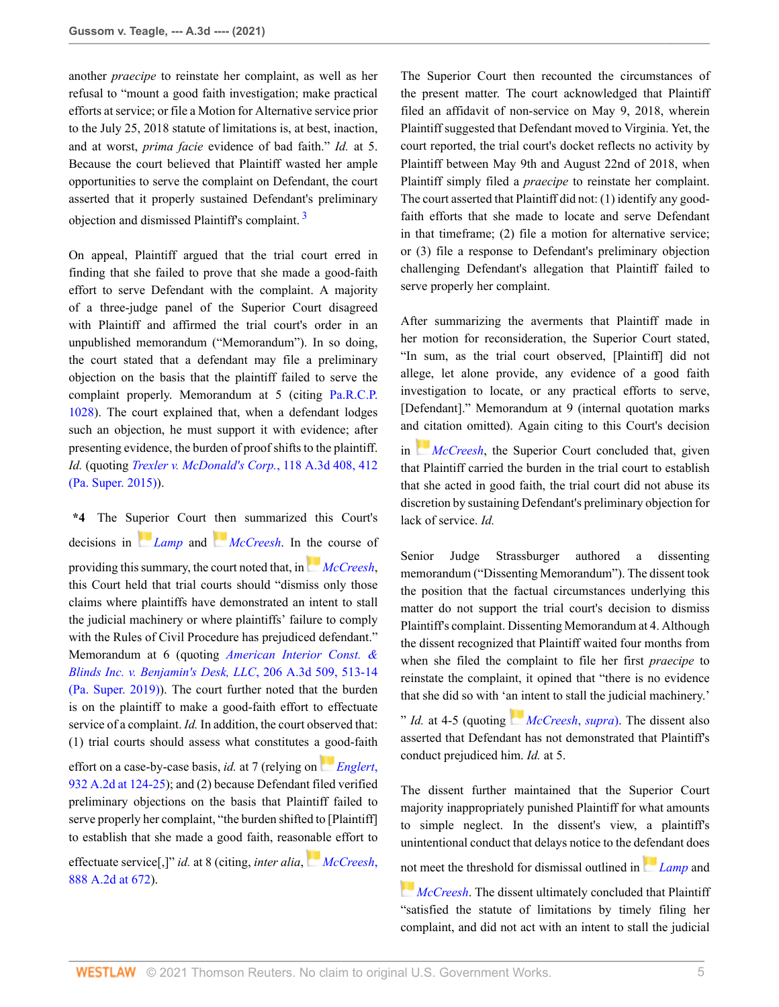another *praecipe* to reinstate her complaint, as well as her refusal to "mount a good faith investigation; make practical efforts at service; or file a Motion for Alternative service prior to the July 25, 2018 statute of limitations is, at best, inaction, and at worst, *prima facie* evidence of bad faith." *Id.* at 5. Because the court believed that Plaintiff wasted her ample opportunities to serve the complaint on Defendant, the court asserted that it properly sustained Defendant's preliminary objection and dismissed Plaintiff's complaint. [3](#page-11-2)

On appeal, Plaintiff argued that the trial court erred in finding that she failed to prove that she made a good-faith effort to serve Defendant with the complaint. A majority of a three-judge panel of the Superior Court disagreed with Plaintiff and affirmed the trial court's order in an unpublished memorandum ("Memorandum"). In so doing, the court stated that a defendant may file a preliminary objection on the basis that the plaintiff failed to serve the complaint properly. Memorandum at 5 (citing [Pa.R.C.P.](http://www.westlaw.com/Link/Document/FullText?findType=L&pubNum=1000781&cite=PASTRCPR1028&originatingDoc=If51d35a08d7e11eb8c2cff889eaa90d0&refType=LQ&originationContext=document&vr=3.0&rs=cblt1.0&transitionType=DocumentItem&contextData=(sc.Search)) [1028](http://www.westlaw.com/Link/Document/FullText?findType=L&pubNum=1000781&cite=PASTRCPR1028&originatingDoc=If51d35a08d7e11eb8c2cff889eaa90d0&refType=LQ&originationContext=document&vr=3.0&rs=cblt1.0&transitionType=DocumentItem&contextData=(sc.Search))). The court explained that, when a defendant lodges such an objection, he must support it with evidence; after presenting evidence, the burden of proof shifts to the plaintiff. *Id.* (quoting *[Trexler v. McDonald's Corp.](http://www.westlaw.com/Link/Document/FullText?findType=Y&serNum=2036388557&pubNum=0007691&originatingDoc=If51d35a08d7e11eb8c2cff889eaa90d0&refType=RP&fi=co_pp_sp_7691_412&originationContext=document&vr=3.0&rs=cblt1.0&transitionType=DocumentItem&contextData=(sc.Search)#co_pp_sp_7691_412)*, 118 A.3d 408, 412 [\(Pa. Super. 2015\)](http://www.westlaw.com/Link/Document/FullText?findType=Y&serNum=2036388557&pubNum=0007691&originatingDoc=If51d35a08d7e11eb8c2cff889eaa90d0&refType=RP&fi=co_pp_sp_7691_412&originationContext=document&vr=3.0&rs=cblt1.0&transitionType=DocumentItem&contextData=(sc.Search)#co_pp_sp_7691_412)).

**\*4** The S[uper](https://1.next.westlaw.com/Link/RelatedInformation/Flag?documentGuid=I5710abaa343d11d98b61a35269fc5f88&transitionType=InlineKeyCiteFlags&originationContext=docHeaderFlag&Rank=0&contextData=(sc.Search) )ior Court [the](https://1.next.westlaw.com/Link/RelatedInformation/Flag?documentGuid=I026a95ec778b11da8ccab4c14e983401&transitionType=InlineKeyCiteFlags&originationContext=docHeaderFlag&Rank=0&contextData=(sc.Search) )n summarized this Court's decisions in *[Lamp](http://www.westlaw.com/Link/Document/FullText?findType=Y&serNum=1976122354&pubNum=0000162&originatingDoc=If51d35a08d7e11eb8c2cff889eaa90d0&refType=RP&originationContext=document&vr=3.0&rs=cblt1.0&transitionType=DocumentItem&contextData=(sc.Search))* and *[McCreesh](http://www.westlaw.com/Link/Document/FullText?findType=Y&serNum=2007972629&pubNum=0000162&originatingDoc=If51d35a08d7e11eb8c2cff889eaa90d0&refType=RP&originationContext=document&vr=3.0&rs=cblt1.0&transitionType=DocumentItem&contextData=(sc.Search))*. In [the](https://1.next.westlaw.com/Link/RelatedInformation/Flag?documentGuid=I026a95ec778b11da8ccab4c14e983401&transitionType=InlineKeyCiteFlags&originationContext=docHeaderFlag&Rank=0&contextData=(sc.Search) ) course of providing this summary, the court noted that, in *[McCreesh](http://www.westlaw.com/Link/Document/FullText?findType=Y&serNum=2007972629&pubNum=0000162&originatingDoc=If51d35a08d7e11eb8c2cff889eaa90d0&refType=RP&originationContext=document&vr=3.0&rs=cblt1.0&transitionType=DocumentItem&contextData=(sc.Search))*, this Court held that trial courts should "dismiss only those claims where plaintiffs have demonstrated an intent to stall the judicial machinery or where plaintiffs' failure to comply with the Rules of Civil Procedure has prejudiced defendant." Memorandum at 6 (quoting *[American Interior Const. &](http://www.westlaw.com/Link/Document/FullText?findType=Y&serNum=2047727209&pubNum=0007691&originatingDoc=If51d35a08d7e11eb8c2cff889eaa90d0&refType=RP&fi=co_pp_sp_7691_513&originationContext=document&vr=3.0&rs=cblt1.0&transitionType=DocumentItem&contextData=(sc.Search)#co_pp_sp_7691_513) [Blinds Inc. v. Benjamin's Desk, LLC](http://www.westlaw.com/Link/Document/FullText?findType=Y&serNum=2047727209&pubNum=0007691&originatingDoc=If51d35a08d7e11eb8c2cff889eaa90d0&refType=RP&fi=co_pp_sp_7691_513&originationContext=document&vr=3.0&rs=cblt1.0&transitionType=DocumentItem&contextData=(sc.Search)#co_pp_sp_7691_513)*, 206 A.3d 509, 513-14 [\(Pa. Super. 2019\)\)](http://www.westlaw.com/Link/Document/FullText?findType=Y&serNum=2047727209&pubNum=0007691&originatingDoc=If51d35a08d7e11eb8c2cff889eaa90d0&refType=RP&fi=co_pp_sp_7691_513&originationContext=document&vr=3.0&rs=cblt1.0&transitionType=DocumentItem&contextData=(sc.Search)#co_pp_sp_7691_513). The court further noted that the burden is on the plaintiff to make a good-faith effort to effectuate service of a complaint. *Id.* In addition, the court observed that: (1) trial courts should assess what constitutes a [go](https://1.next.westlaw.com/Link/RelatedInformation/Flag?documentGuid=I8bcf2aa641dd11dcab5dc95700b89bde&transitionType=InlineKeyCiteFlags&originationContext=docHeaderFlag&Rank=0&contextData=(sc.Search) )od-faith

effort on a case-by-case basis, *id.* at 7 (relying on *[Englert](http://www.westlaw.com/Link/Document/FullText?findType=Y&serNum=2012846930&pubNum=0000162&originatingDoc=If51d35a08d7e11eb8c2cff889eaa90d0&refType=RP&fi=co_pp_sp_162_124&originationContext=document&vr=3.0&rs=cblt1.0&transitionType=DocumentItem&contextData=(sc.Search)#co_pp_sp_162_124)*, [932 A.2d at 124-25](http://www.westlaw.com/Link/Document/FullText?findType=Y&serNum=2012846930&pubNum=0000162&originatingDoc=If51d35a08d7e11eb8c2cff889eaa90d0&refType=RP&fi=co_pp_sp_162_124&originationContext=document&vr=3.0&rs=cblt1.0&transitionType=DocumentItem&contextData=(sc.Search)#co_pp_sp_162_124)); and (2) because Defendant filed verified preliminary objections on the basis that Plaintiff failed to serve properly her complaint, "the burden shifted to [Plaintiff] to establish that she made a good faith, reaso[nabl](https://1.next.westlaw.com/Link/RelatedInformation/Flag?documentGuid=I026a95ec778b11da8ccab4c14e983401&transitionType=InlineKeyCiteFlags&originationContext=docHeaderFlag&Rank=0&contextData=(sc.Search) )e effort to

effectuate service[,]" *id.* at 8 (citing, *inter alia*, *[McCreesh](http://www.westlaw.com/Link/Document/FullText?findType=Y&serNum=2007972629&pubNum=0000162&originatingDoc=If51d35a08d7e11eb8c2cff889eaa90d0&refType=RP&fi=co_pp_sp_162_672&originationContext=document&vr=3.0&rs=cblt1.0&transitionType=DocumentItem&contextData=(sc.Search)#co_pp_sp_162_672)*, [888 A.2d at 672](http://www.westlaw.com/Link/Document/FullText?findType=Y&serNum=2007972629&pubNum=0000162&originatingDoc=If51d35a08d7e11eb8c2cff889eaa90d0&refType=RP&fi=co_pp_sp_162_672&originationContext=document&vr=3.0&rs=cblt1.0&transitionType=DocumentItem&contextData=(sc.Search)#co_pp_sp_162_672)).

The Superior Court then recounted the circumstances of the present matter. The court acknowledged that Plaintiff filed an affidavit of non-service on May 9, 2018, wherein Plaintiff suggested that Defendant moved to Virginia. Yet, the court reported, the trial court's docket reflects no activity by Plaintiff between May 9th and August 22nd of 2018, when Plaintiff simply filed a *praecipe* to reinstate her complaint. The court asserted that Plaintiff did not: (1) identify any goodfaith efforts that she made to locate and serve Defendant in that timeframe; (2) file a motion for alternative service; or (3) file a response to Defendant's preliminary objection challenging Defendant's allegation that Plaintiff failed to serve properly her complaint.

<span id="page-4-0"></span>After summarizing the averments that Plaintiff made in her motion for reconsideration, the Superior Court stated, "In sum, as the trial court observed, [Plaintiff] did not allege, let alone provide, any evidence of a good faith investigation to locate, or any practical efforts to serve, [Defendant]." Memorandum at 9 (internal quotation marks an[d ci](https://1.next.westlaw.com/Link/RelatedInformation/Flag?documentGuid=I026a95ec778b11da8ccab4c14e983401&transitionType=InlineKeyCiteFlags&originationContext=docHeaderFlag&Rank=0&contextData=(sc.Search) )tation omitted). Again citing to this Court's decision

in *[McCreesh](http://www.westlaw.com/Link/Document/FullText?findType=Y&serNum=2007972629&pubNum=0000162&originatingDoc=If51d35a08d7e11eb8c2cff889eaa90d0&refType=RP&originationContext=document&vr=3.0&rs=cblt1.0&transitionType=DocumentItem&contextData=(sc.Search))*, the Superior Court concluded that, given that Plaintiff carried the burden in the trial court to establish that she acted in good faith, the trial court did not abuse its discretion by sustaining Defendant's preliminary objection for lack of service. *Id.*

Senior Judge Strassburger authored a dissenting memorandum ("Dissenting Memorandum"). The dissent took the position that the factual circumstances underlying this matter do not support the trial court's decision to dismiss Plaintiff's complaint. Dissenting Memorandum at 4. Although the dissent recognized that Plaintiff waited four months from when she filed the complaint to file her first *praecipe* to reinstate the complaint, it opined that "there is no evidence that she did so with '[an in](https://1.next.westlaw.com/Link/RelatedInformation/Flag?documentGuid=I026a95ec778b11da8ccab4c14e983401&transitionType=InlineKeyCiteFlags&originationContext=docHeaderFlag&Rank=0&contextData=(sc.Search) )tent to stall the judicial machinery.'

" *Id.* at 4-5 (quoting *[McCreesh](http://www.westlaw.com/Link/Document/FullText?findType=Y&serNum=2007972629&pubNum=0000162&originatingDoc=If51d35a08d7e11eb8c2cff889eaa90d0&refType=RP&originationContext=document&vr=3.0&rs=cblt1.0&transitionType=DocumentItem&contextData=(sc.Search))*, *supra*). The dissent also asserted that Defendant has not demonstrated that Plaintiff's conduct prejudiced him. *Id.* at 5.

The dissent further maintained that the Superior Court majority inappropriately punished Plaintiff for what amounts to simple neglect. In the dissent's view, a plaintiff's unintentional conduct that delays notice to the d[efen](https://1.next.westlaw.com/Link/RelatedInformation/Flag?documentGuid=I5710abaa343d11d98b61a35269fc5f88&transitionType=InlineKeyCiteFlags&originationContext=docHeaderFlag&Rank=0&contextData=(sc.Search) )dant does

[not](https://1.next.westlaw.com/Link/RelatedInformation/Flag?documentGuid=I026a95ec778b11da8ccab4c14e983401&transitionType=InlineKeyCiteFlags&originationContext=docHeaderFlag&Rank=0&contextData=(sc.Search) ) meet the threshold for dismissal outlined in *[Lamp](http://www.westlaw.com/Link/Document/FullText?findType=Y&serNum=1976122354&pubNum=0000162&originatingDoc=If51d35a08d7e11eb8c2cff889eaa90d0&refType=RP&originationContext=document&vr=3.0&rs=cblt1.0&transitionType=DocumentItem&contextData=(sc.Search))* and

*[McCreesh](http://www.westlaw.com/Link/Document/FullText?findType=Y&serNum=2007972629&pubNum=0000162&originatingDoc=If51d35a08d7e11eb8c2cff889eaa90d0&refType=RP&originationContext=document&vr=3.0&rs=cblt1.0&transitionType=DocumentItem&contextData=(sc.Search))*. The dissent ultimately concluded that Plaintiff "satisfied the statute of limitations by timely filing her complaint, and did not act with an intent to stall the judicial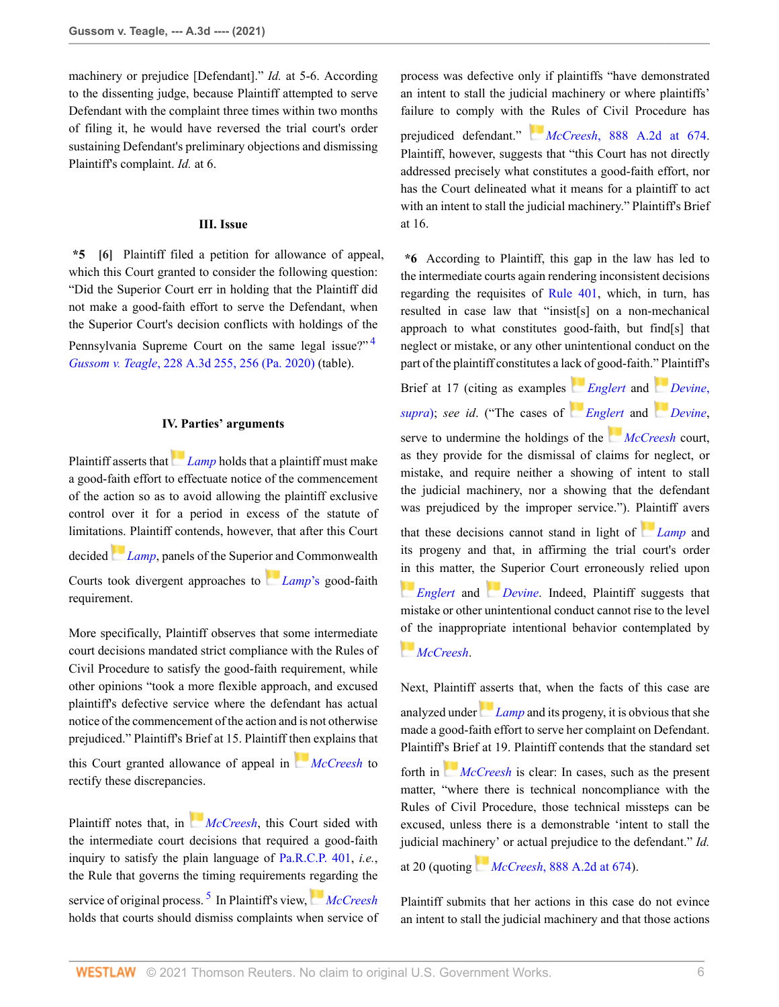machinery or prejudice [Defendant]." *Id.* at 5-6. According to the dissenting judge, because Plaintiff attempted to serve Defendant with the complaint three times within two months of filing it, he would have reversed the trial court's order sustaining Defendant's preliminary objections and dismissing Plaintiff's complaint. *Id.* at 6.

# **III. Issue**

<span id="page-5-0"></span>**\*5 [\[6\]](#page-1-2)** Plaintiff filed a petition for allowance of appeal, which this Court granted to consider the following question: "Did the Superior Court err in holding that the Plaintiff did not make a good-faith effort to serve the Defendant, when the Superior Court's decision conflicts with holdings of the Pennsylvania Supreme Court on the same legal issue?"<sup>[4](#page-11-3)</sup> *Gussom v. Teagle*[, 228 A.3d 255, 256 \(Pa. 2020\)](http://www.westlaw.com/Link/Document/FullText?findType=Y&serNum=2050674607&pubNum=0007691&originatingDoc=If51d35a08d7e11eb8c2cff889eaa90d0&refType=RP&fi=co_pp_sp_7691_256&originationContext=document&vr=3.0&rs=cblt1.0&transitionType=DocumentItem&contextData=(sc.Search)#co_pp_sp_7691_256) (table).

# **IV. Parties' arguments**

Plaintiff asserts that *[Lamp](http://www.westlaw.com/Link/Document/FullText?findType=Y&serNum=1976122354&pubNum=0000162&originatingDoc=If51d35a08d7e11eb8c2cff889eaa90d0&refType=RP&originationContext=document&vr=3.0&rs=cblt1.0&transitionType=DocumentItem&contextData=(sc.Search))* holds that a plaintiff must make a good-faith effort to effectuate notice of the commencement of the action so as to avoid allowing the plaintiff exclusive control over it for a period in excess of the statute of limitati[ons.](https://1.next.westlaw.com/Link/RelatedInformation/Flag?documentGuid=I5710abaa343d11d98b61a35269fc5f88&transitionType=InlineKeyCiteFlags&originationContext=docHeaderFlag&Rank=0&contextData=(sc.Search) ) Plaintiff contends, however, that after this Court decided *[Lamp](http://www.westlaw.com/Link/Document/FullText?findType=Y&serNum=1976122354&pubNum=0000162&originatingDoc=If51d35a08d7e11eb8c2cff889eaa90d0&refType=RP&originationContext=document&vr=3.0&rs=cblt1.0&transitionType=DocumentItem&contextData=(sc.Search))*, panels of the Superi[or an](https://1.next.westlaw.com/Link/RelatedInformation/Flag?documentGuid=I5710abaa343d11d98b61a35269fc5f88&transitionType=InlineKeyCiteFlags&originationContext=docHeaderFlag&Rank=0&contextData=(sc.Search) )d Commonwealth Courts took divergent approaches to *[Lamp](http://www.westlaw.com/Link/Document/FullText?findType=Y&serNum=1976122354&originatingDoc=If51d35a08d7e11eb8c2cff889eaa90d0&refType=RP&originationContext=document&vr=3.0&rs=cblt1.0&transitionType=DocumentItem&contextData=(sc.Search))*'s good-faith requirement.

More specifically, Plaintiff observes that some intermediate court decisions mandated strict compliance with the Rules of Civil Procedure to satisfy the good-faith requirement, while other opinions "took a more flexible approach, and excused plaintiff's defective service where the defendant has actual notice of the commencement of the action and is not otherwise prejudiced." Plaintiff's Brief at 15. Plaintiff t[hen](https://1.next.westlaw.com/Link/RelatedInformation/Flag?documentGuid=I026a95ec778b11da8ccab4c14e983401&transitionType=InlineKeyCiteFlags&originationContext=docHeaderFlag&Rank=0&contextData=(sc.Search) ) explains that

this Court granted allowance of appeal in *[McCreesh](http://www.westlaw.com/Link/Document/FullText?findType=Y&serNum=2007972629&pubNum=0000162&originatingDoc=If51d35a08d7e11eb8c2cff889eaa90d0&refType=RP&originationContext=document&vr=3.0&rs=cblt1.0&transitionType=DocumentItem&contextData=(sc.Search))* to rectify these discrepancies.

<span id="page-5-2"></span>Plaintiff notes that, in *[McCreesh](http://www.westlaw.com/Link/Document/FullText?findType=Y&serNum=2007972629&pubNum=0000162&originatingDoc=If51d35a08d7e11eb8c2cff889eaa90d0&refType=RP&originationContext=document&vr=3.0&rs=cblt1.0&transitionType=DocumentItem&contextData=(sc.Search))*, this Court sided with the intermediate court decisions that required a good-faith inquiry to satisfy the plain language of [Pa.R.C.P. 401](http://www.westlaw.com/Link/Document/FullText?findType=L&pubNum=1000781&cite=PASTRCPR401&originatingDoc=If51d35a08d7e11eb8c2cff889eaa90d0&refType=LQ&originationContext=document&vr=3.0&rs=cblt1.0&transitionType=DocumentItem&contextData=(sc.Search)), *i.e.*, the Rule that governs the timing requirements [reg](https://1.next.westlaw.com/Link/RelatedInformation/Flag?documentGuid=I026a95ec778b11da8ccab4c14e983401&transitionType=InlineKeyCiteFlags&originationContext=docHeaderFlag&Rank=0&contextData=(sc.Search) )arding the service of original process.<sup>[5](#page-11-4)</sup> In Plaintiff's view, [McCreesh](http://www.westlaw.com/Link/Document/FullText?findType=Y&serNum=2007972629&pubNum=0000162&originatingDoc=If51d35a08d7e11eb8c2cff889eaa90d0&refType=RP&originationContext=document&vr=3.0&rs=cblt1.0&transitionType=DocumentItem&contextData=(sc.Search)) holds that courts should dismiss complaints when service of process was defective only if plaintiffs "have demonstrated an intent to stall the judicial machinery or where plaintiffs' failure to comply with [the](https://1.next.westlaw.com/Link/RelatedInformation/Flag?documentGuid=I026a95ec778b11da8ccab4c14e983401&transitionType=InlineKeyCiteFlags&originationContext=docHeaderFlag&Rank=0&contextData=(sc.Search) ) Rules of Civil Procedure has prejudiced defendant." *McCreesh*[, 888 A.2d at 674](http://www.westlaw.com/Link/Document/FullText?findType=Y&serNum=2007972629&pubNum=0000162&originatingDoc=If51d35a08d7e11eb8c2cff889eaa90d0&refType=RP&fi=co_pp_sp_162_674&originationContext=document&vr=3.0&rs=cblt1.0&transitionType=DocumentItem&contextData=(sc.Search)#co_pp_sp_162_674). Plaintiff, however, suggests that "this Court has not directly addressed precisely what constitutes a good-faith effort, nor has the Court delineated what it means for a plaintiff to act with an intent to stall the judicial machinery." Plaintiff's Brief at 16.

**\*6** According to Plaintiff, this gap in the law has led to the intermediate courts again rendering inconsistent decisions regarding the requisites of [Rule 401,](http://www.westlaw.com/Link/Document/FullText?findType=L&pubNum=1000781&cite=PASTRCPR401&originatingDoc=If51d35a08d7e11eb8c2cff889eaa90d0&refType=LQ&originationContext=document&vr=3.0&rs=cblt1.0&transitionType=DocumentItem&contextData=(sc.Search)) which, in turn, has resulted in case law that "insist[s] on a non-mechanical approach to what constitutes good-faith, but find[s] that neglect or mistake, or any other unintentional conduct on the part of the plaintiff constitutes a la[ck o](https://1.next.westlaw.com/Link/RelatedInformation/Flag?documentGuid=I8bcf2aa641dd11dcab5dc95700b89bde&transitionType=InlineKeyCiteFlags&originationContext=docHeaderFlag&Rank=0&contextData=(sc.Search) )f good-faith.[" Pl](https://1.next.westlaw.com/Link/RelatedInformation/Flag?documentGuid=If7c7f331456511d98915dbcd77ee80bc&transitionType=InlineKeyCiteFlags&originationContext=docHeaderFlag&Rank=0&contextData=(sc.Search) )aintiff's

<span id="page-5-1"></span>Brief at 17 (citing as examples *[Englert](http://www.westlaw.com/Link/Document/FullText?findType=Y&serNum=2012846930&pubNum=0000162&originatingDoc=If51d35a08d7e11eb8c2cff889eaa90d0&refType=RP&originationContext=document&vr=3.0&rs=cblt1.0&transitionType=DocumentItem&contextData=(sc.Search))* and *[Devine](http://www.westlaw.com/Link/Document/FullText?findType=Y&serNum=2005672492&pubNum=0000162&originatingDoc=If51d35a08d7e11eb8c2cff889eaa90d0&refType=RP&originationContext=document&vr=3.0&rs=cblt1.0&transitionType=DocumentItem&contextData=(sc.Search))*, *[supra](http://www.westlaw.com/Link/Document/FullText?findType=Y&serNum=2005672492&pubNum=0000162&originatingDoc=If51d35a08d7e11eb8c2cff889eaa90d0&refType=RP&originationContext=document&vr=3.0&rs=cblt1.0&transitionType=DocumentItem&contextData=(sc.Search))*); *see id*. ("The cases of *[Englert](http://www.westlaw.com/Link/Document/FullText?findType=Y&serNum=2012846930&pubNum=0000162&originatingDoc=If51d35a08d7e11eb8c2cff889eaa90d0&refType=RP&originationContext=document&vr=3.0&rs=cblt1.0&transitionType=DocumentItem&contextData=(sc.Search))* and *[Devine](http://www.westlaw.com/Link/Document/FullText?findType=Y&serNum=2005672492&pubNum=0000162&originatingDoc=If51d35a08d7e11eb8c2cff889eaa90d0&refType=RP&originationContext=document&vr=3.0&rs=cblt1.0&transitionType=DocumentItem&contextData=(sc.Search))*, serve to undermine the holdings of the *[McCreesh](http://www.westlaw.com/Link/Document/FullText?findType=Y&serNum=2007972629&pubNum=0000162&originatingDoc=If51d35a08d7e11eb8c2cff889eaa90d0&refType=RP&originationContext=document&vr=3.0&rs=cblt1.0&transitionType=DocumentItem&contextData=(sc.Search))* court, as they provide for the dismissal of claims for neglect, or mistake, and require neither a showing of intent to stall the judicial machinery, nor a showing that the defendant was prejudiced by the improper service."). [Plain](https://1.next.westlaw.com/Link/RelatedInformation/Flag?documentGuid=I5710abaa343d11d98b61a35269fc5f88&transitionType=InlineKeyCiteFlags&originationContext=docHeaderFlag&Rank=0&contextData=(sc.Search) )tiff avers that these decisions cannot stand in light of *[Lamp](http://www.westlaw.com/Link/Document/FullText?findType=Y&serNum=1976122354&pubNum=0000162&originatingDoc=If51d35a08d7e11eb8c2cff889eaa90d0&refType=RP&originationContext=document&vr=3.0&rs=cblt1.0&transitionType=DocumentItem&contextData=(sc.Search))* and its progeny and that, in affirming the trial court's order [in t](https://1.next.westlaw.com/Link/RelatedInformation/Flag?documentGuid=I8bcf2aa641dd11dcab5dc95700b89bde&transitionType=InlineKeyCiteFlags&originationContext=docHeaderFlag&Rank=0&contextData=(sc.Search) )his matter, t[he S](https://1.next.westlaw.com/Link/RelatedInformation/Flag?documentGuid=If7c7f331456511d98915dbcd77ee80bc&transitionType=InlineKeyCiteFlags&originationContext=docHeaderFlag&Rank=0&contextData=(sc.Search) )uperior Court erroneously relied upon *[Englert](http://www.westlaw.com/Link/Document/FullText?findType=Y&serNum=2012846930&pubNum=0000162&originatingDoc=If51d35a08d7e11eb8c2cff889eaa90d0&refType=RP&originationContext=document&vr=3.0&rs=cblt1.0&transitionType=DocumentItem&contextData=(sc.Search))* and *[Devine](http://www.westlaw.com/Link/Document/FullText?findType=Y&serNum=2005672492&pubNum=0000162&originatingDoc=If51d35a08d7e11eb8c2cff889eaa90d0&refType=RP&originationContext=document&vr=3.0&rs=cblt1.0&transitionType=DocumentItem&contextData=(sc.Search))*. Indeed, Plaintiff suggests that mistake or other unintentional conduct cannot rise to the level [of t](https://1.next.westlaw.com/Link/RelatedInformation/Flag?documentGuid=I026a95ec778b11da8ccab4c14e983401&transitionType=InlineKeyCiteFlags&originationContext=docHeaderFlag&Rank=0&contextData=(sc.Search) )he inappropriate intentional behavior contemplated by *[McCreesh](http://www.westlaw.com/Link/Document/FullText?findType=Y&serNum=2007972629&pubNum=0000162&originatingDoc=If51d35a08d7e11eb8c2cff889eaa90d0&refType=RP&originationContext=document&vr=3.0&rs=cblt1.0&transitionType=DocumentItem&contextData=(sc.Search))*.

Next, Plaintiff [asse](https://1.next.westlaw.com/Link/RelatedInformation/Flag?documentGuid=I5710abaa343d11d98b61a35269fc5f88&transitionType=InlineKeyCiteFlags&originationContext=docHeaderFlag&Rank=0&contextData=(sc.Search) )rts that, when the facts of this case are analyzed under *[Lamp](http://www.westlaw.com/Link/Document/FullText?findType=Y&serNum=1976122354&pubNum=0000162&originatingDoc=If51d35a08d7e11eb8c2cff889eaa90d0&refType=RP&originationContext=document&vr=3.0&rs=cblt1.0&transitionType=DocumentItem&contextData=(sc.Search))* and its progeny, it is obvious that she made a good-faith effort to serve her complaint on Defendant. Plaintiff'[s B](https://1.next.westlaw.com/Link/RelatedInformation/Flag?documentGuid=I026a95ec778b11da8ccab4c14e983401&transitionType=InlineKeyCiteFlags&originationContext=docHeaderFlag&Rank=0&contextData=(sc.Search) )rief at 19. Plaintiff contends that the standard set forth in *[McCreesh](http://www.westlaw.com/Link/Document/FullText?findType=Y&serNum=2007972629&pubNum=0000162&originatingDoc=If51d35a08d7e11eb8c2cff889eaa90d0&refType=RP&originationContext=document&vr=3.0&rs=cblt1.0&transitionType=DocumentItem&contextData=(sc.Search))* is clear: In cases, such as the present matter, "where there is technical noncompliance with the Rules of Civil Procedure, those technical missteps can be excused, unless there is a demonstrable 'intent to stall the judicial machi[nery](https://1.next.westlaw.com/Link/RelatedInformation/Flag?documentGuid=I026a95ec778b11da8ccab4c14e983401&transitionType=InlineKeyCiteFlags&originationContext=docHeaderFlag&Rank=0&contextData=(sc.Search) )' or actual prejudice to the defendant." *Id.* at 20 (quoting *McCreesh*[, 888 A.2d at 674](http://www.westlaw.com/Link/Document/FullText?findType=Y&serNum=2007972629&pubNum=0000162&originatingDoc=If51d35a08d7e11eb8c2cff889eaa90d0&refType=RP&fi=co_pp_sp_162_674&originationContext=document&vr=3.0&rs=cblt1.0&transitionType=DocumentItem&contextData=(sc.Search)#co_pp_sp_162_674)).

Plaintiff submits that her actions in this case do not evince an intent to stall the judicial machinery and that those actions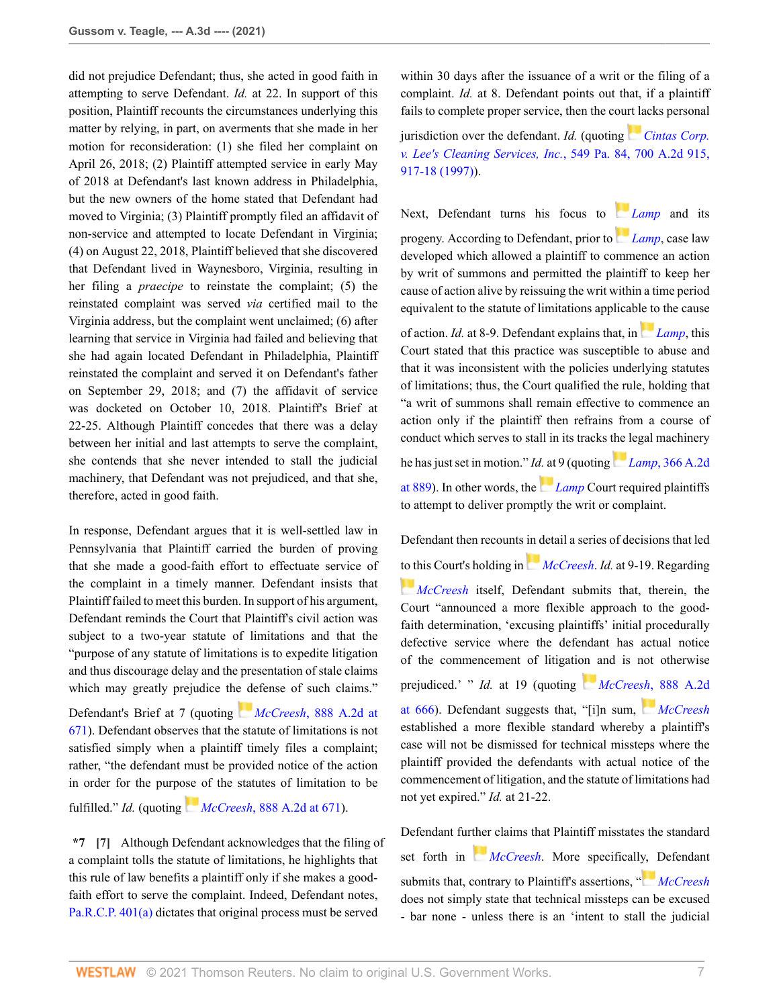did not prejudice Defendant; thus, she acted in good faith in attempting to serve Defendant. *Id.* at 22. In support of this position, Plaintiff recounts the circumstances underlying this matter by relying, in part, on averments that she made in her motion for reconsideration: (1) she filed her complaint on April 26, 2018; (2) Plaintiff attempted service in early May of 2018 at Defendant's last known address in Philadelphia, but the new owners of the home stated that Defendant had moved to Virginia; (3) Plaintiff promptly filed an affidavit of non-service and attempted to locate Defendant in Virginia; (4) on August 22, 2018, Plaintiff believed that she discovered that Defendant lived in Waynesboro, Virginia, resulting in her filing a *praecipe* to reinstate the complaint; (5) the reinstated complaint was served *via* certified mail to the Virginia address, but the complaint went unclaimed; (6) after learning that service in Virginia had failed and believing that she had again located Defendant in Philadelphia, Plaintiff reinstated the complaint and served it on Defendant's father on September 29, 2018; and (7) the affidavit of service was docketed on October 10, 2018. Plaintiff's Brief at 22-25. Although Plaintiff concedes that there was a delay between her initial and last attempts to serve the complaint, she contends that she never intended to stall the judicial machinery, that Defendant was not prejudiced, and that she, therefore, acted in good faith.

In response, Defendant argues that it is well-settled law in Pennsylvania that Plaintiff carried the burden of proving that she made a good-faith effort to effectuate service of the complaint in a timely manner. Defendant insists that Plaintiff failed to meet this burden. In support of his argument, Defendant reminds the Court that Plaintiff's civil action was subject to a two-year statute of limitations and that the "purpose of any statute of limitations is to expedite litigation and thus discourage delay and the presentation of stale claims which may greatly prejudice th[e de](https://1.next.westlaw.com/Link/RelatedInformation/Flag?documentGuid=I026a95ec778b11da8ccab4c14e983401&transitionType=InlineKeyCiteFlags&originationContext=docHeaderFlag&Rank=0&contextData=(sc.Search) )fense of such claims." Defendant's Brief at 7 (quoting *McCreesh*[, 888 A.2d at](http://www.westlaw.com/Link/Document/FullText?findType=Y&serNum=2007972629&pubNum=0000162&originatingDoc=If51d35a08d7e11eb8c2cff889eaa90d0&refType=RP&fi=co_pp_sp_162_671&originationContext=document&vr=3.0&rs=cblt1.0&transitionType=DocumentItem&contextData=(sc.Search)#co_pp_sp_162_671) [671](http://www.westlaw.com/Link/Document/FullText?findType=Y&serNum=2007972629&pubNum=0000162&originatingDoc=If51d35a08d7e11eb8c2cff889eaa90d0&refType=RP&fi=co_pp_sp_162_671&originationContext=document&vr=3.0&rs=cblt1.0&transitionType=DocumentItem&contextData=(sc.Search)#co_pp_sp_162_671)). Defendant observes that the statute of limitations is not

satisfied simply when a plaintiff timely files a complaint; rather, "the defendant must be provided notice of the action in order for the purp[ose](https://1.next.westlaw.com/Link/RelatedInformation/Flag?documentGuid=I026a95ec778b11da8ccab4c14e983401&transitionType=InlineKeyCiteFlags&originationContext=docHeaderFlag&Rank=0&contextData=(sc.Search) ) of the statutes of limitation to be fulfilled." *Id.* (quoting *McCreesh*[, 888 A.2d at 671](http://www.westlaw.com/Link/Document/FullText?findType=Y&serNum=2007972629&pubNum=0000162&originatingDoc=If51d35a08d7e11eb8c2cff889eaa90d0&refType=RP&fi=co_pp_sp_162_671&originationContext=document&vr=3.0&rs=cblt1.0&transitionType=DocumentItem&contextData=(sc.Search)#co_pp_sp_162_671)).

<span id="page-6-0"></span>**\*7 [\[7\]](#page-1-3)** Although Defendant acknowledges that the filing of a complaint tolls the statute of limitations, he highlights that this rule of law benefits a plaintiff only if she makes a goodfaith effort to serve the complaint. Indeed, Defendant notes, [Pa.R.C.P. 401\(a\)](http://www.westlaw.com/Link/Document/FullText?findType=L&pubNum=1000781&cite=PASTRCPR401&originatingDoc=If51d35a08d7e11eb8c2cff889eaa90d0&refType=LQ&originationContext=document&vr=3.0&rs=cblt1.0&transitionType=DocumentItem&contextData=(sc.Search)) dictates that original process must be served

within 30 days after the issuance of a writ or the filing of a complaint. *Id.* at 8. Defendant points out that, if a plaintiff fails to complete proper service, then the co[urt la](https://1.next.westlaw.com/Link/RelatedInformation/Flag?documentGuid=Ifba89fe836ab11d986b0aa9c82c164c0&transitionType=InlineKeyCiteFlags&originationContext=docHeaderFlag&Rank=0&contextData=(sc.Search) )cks personal

jurisdiction over the defendant. *Id.* (quoting *[Cintas Corp.](http://www.westlaw.com/Link/Document/FullText?findType=Y&serNum=1997192699&pubNum=0000162&originatingDoc=If51d35a08d7e11eb8c2cff889eaa90d0&refType=RP&fi=co_pp_sp_162_917&originationContext=document&vr=3.0&rs=cblt1.0&transitionType=DocumentItem&contextData=(sc.Search)#co_pp_sp_162_917) [v. Lee's Cleaning Services, Inc.](http://www.westlaw.com/Link/Document/FullText?findType=Y&serNum=1997192699&pubNum=0000162&originatingDoc=If51d35a08d7e11eb8c2cff889eaa90d0&refType=RP&fi=co_pp_sp_162_917&originationContext=document&vr=3.0&rs=cblt1.0&transitionType=DocumentItem&contextData=(sc.Search)#co_pp_sp_162_917)*, 549 Pa. 84, 700 A.2d 915, [917-18 \(1997\)](http://www.westlaw.com/Link/Document/FullText?findType=Y&serNum=1997192699&pubNum=0000162&originatingDoc=If51d35a08d7e11eb8c2cff889eaa90d0&refType=RP&fi=co_pp_sp_162_917&originationContext=document&vr=3.0&rs=cblt1.0&transitionType=DocumentItem&contextData=(sc.Search)#co_pp_sp_162_917)).

Next, Defendant turns his focus to *[Lamp](http://www.westlaw.com/Link/Document/FullText?findType=Y&serNum=1976122354&pubNum=0000162&originatingDoc=If51d35a08d7e11eb8c2cff889eaa90d0&refType=RP&originationContext=document&vr=3.0&rs=cblt1.0&transitionType=DocumentItem&contextData=(sc.Search))* and its progeny. According to Defendant, prior to*[Lamp](http://www.westlaw.com/Link/Document/FullText?findType=Y&serNum=1976122354&pubNum=0000162&originatingDoc=If51d35a08d7e11eb8c2cff889eaa90d0&refType=RP&originationContext=document&vr=3.0&rs=cblt1.0&transitionType=DocumentItem&contextData=(sc.Search))*, case law developed which allowed a plaintiff to commence an action by writ of summons and permitted the plaintiff to keep her cause of action alive by reissuing the writ within a time period equivalent to the statute of limitations applicab[le to](https://1.next.westlaw.com/Link/RelatedInformation/Flag?documentGuid=I5710abaa343d11d98b61a35269fc5f88&transitionType=InlineKeyCiteFlags&originationContext=docHeaderFlag&Rank=0&contextData=(sc.Search) ) the cause of action. *Id.* at 8-9. Defendant explains that, in *[Lamp](http://www.westlaw.com/Link/Document/FullText?findType=Y&serNum=1976122354&pubNum=0000162&originatingDoc=If51d35a08d7e11eb8c2cff889eaa90d0&refType=RP&originationContext=document&vr=3.0&rs=cblt1.0&transitionType=DocumentItem&contextData=(sc.Search))*, this Court stated that this practice was susceptible to abuse and that it was inconsistent with the policies underlying statutes of limitations; thus, the Court qualified the rule, holding that "a writ of summons shall remain effective to commence an

action only if the plaintiff then refrains from a course of conduct which serves to stall in its tracks [the](https://1.next.westlaw.com/Link/RelatedInformation/Flag?documentGuid=I5710abaa343d11d98b61a35269fc5f88&transitionType=InlineKeyCiteFlags&originationContext=docHeaderFlag&Rank=0&contextData=(sc.Search) ) legal machinery he has just set in motion." *Id.* [at](https://1.next.westlaw.com/Link/RelatedInformation/Flag?documentGuid=I5710abaa343d11d98b61a35269fc5f88&transitionType=InlineKeyCiteFlags&originationContext=docHeaderFlag&Rank=0&contextData=(sc.Search) ) 9 (quoting *Lamp*[, 366 A.2d](http://www.westlaw.com/Link/Document/FullText?findType=Y&serNum=1976122354&pubNum=0000162&originatingDoc=If51d35a08d7e11eb8c2cff889eaa90d0&refType=RP&fi=co_pp_sp_162_889&originationContext=document&vr=3.0&rs=cblt1.0&transitionType=DocumentItem&contextData=(sc.Search)#co_pp_sp_162_889) [at 889](http://www.westlaw.com/Link/Document/FullText?findType=Y&serNum=1976122354&pubNum=0000162&originatingDoc=If51d35a08d7e11eb8c2cff889eaa90d0&refType=RP&fi=co_pp_sp_162_889&originationContext=document&vr=3.0&rs=cblt1.0&transitionType=DocumentItem&contextData=(sc.Search)#co_pp_sp_162_889)). In other words, the *[Lamp](http://www.westlaw.com/Link/Document/FullText?findType=Y&serNum=1976122354&pubNum=0000162&originatingDoc=If51d35a08d7e11eb8c2cff889eaa90d0&refType=RP&originationContext=document&vr=3.0&rs=cblt1.0&transitionType=DocumentItem&contextData=(sc.Search))* Court required plaintiffs to attempt to deliver promptly the writ or complaint.

Defendant then recounts [in d](https://1.next.westlaw.com/Link/RelatedInformation/Flag?documentGuid=I026a95ec778b11da8ccab4c14e983401&transitionType=InlineKeyCiteFlags&originationContext=docHeaderFlag&Rank=0&contextData=(sc.Search) )etail a series of decisions that led [to th](https://1.next.westlaw.com/Link/RelatedInformation/Flag?documentGuid=I026a95ec778b11da8ccab4c14e983401&transitionType=InlineKeyCiteFlags&originationContext=docHeaderFlag&Rank=0&contextData=(sc.Search) )is Court's holding in *[McCreesh](http://www.westlaw.com/Link/Document/FullText?findType=Y&serNum=2007972629&pubNum=0000162&originatingDoc=If51d35a08d7e11eb8c2cff889eaa90d0&refType=RP&originationContext=document&vr=3.0&rs=cblt1.0&transitionType=DocumentItem&contextData=(sc.Search))*. *Id.* at 9-19. Regarding *[McCreesh](http://www.westlaw.com/Link/Document/FullText?findType=Y&serNum=2007972629&pubNum=0000162&originatingDoc=If51d35a08d7e11eb8c2cff889eaa90d0&refType=RP&originationContext=document&vr=3.0&rs=cblt1.0&transitionType=DocumentItem&contextData=(sc.Search))* itself, Defendant submits that, therein, the Court "announced a more flexible approach to the goodfaith determination, 'excusing plaintiffs' initial procedurally defective service where the defendant has actual notice of the commencement of litigati[on a](https://1.next.westlaw.com/Link/RelatedInformation/Flag?documentGuid=I026a95ec778b11da8ccab4c14e983401&transitionType=InlineKeyCiteFlags&originationContext=docHeaderFlag&Rank=0&contextData=(sc.Search) )nd is not otherwise prejudiced.' " *Id.* at 19 (quoting *McCree[sh](https://1.next.westlaw.com/Link/RelatedInformation/Flag?documentGuid=I026a95ec778b11da8ccab4c14e983401&transitionType=InlineKeyCiteFlags&originationContext=docHeaderFlag&Rank=0&contextData=(sc.Search) )*[, 888 A.2d](http://www.westlaw.com/Link/Document/FullText?findType=Y&serNum=2007972629&pubNum=0000162&originatingDoc=If51d35a08d7e11eb8c2cff889eaa90d0&refType=RP&fi=co_pp_sp_162_666&originationContext=document&vr=3.0&rs=cblt1.0&transitionType=DocumentItem&contextData=(sc.Search)#co_pp_sp_162_666) [at 666\)](http://www.westlaw.com/Link/Document/FullText?findType=Y&serNum=2007972629&pubNum=0000162&originatingDoc=If51d35a08d7e11eb8c2cff889eaa90d0&refType=RP&fi=co_pp_sp_162_666&originationContext=document&vr=3.0&rs=cblt1.0&transitionType=DocumentItem&contextData=(sc.Search)#co_pp_sp_162_666). Defendant suggests that, "[i]n sum, *[McCreesh](http://www.westlaw.com/Link/Document/FullText?findType=Y&serNum=2007972629&pubNum=0000162&originatingDoc=If51d35a08d7e11eb8c2cff889eaa90d0&refType=RP&originationContext=document&vr=3.0&rs=cblt1.0&transitionType=DocumentItem&contextData=(sc.Search))* established a more flexible standard whereby a plaintiff's case will not be dismissed for technical missteps where the plaintiff provided the defendants with actual notice of the commencement of litigation, and the statute of limitations had not yet expired." *Id.* at 21-22.

Defendant fur[ther](https://1.next.westlaw.com/Link/RelatedInformation/Flag?documentGuid=I026a95ec778b11da8ccab4c14e983401&transitionType=InlineKeyCiteFlags&originationContext=docHeaderFlag&Rank=0&contextData=(sc.Search) ) claims that Plaintiff misstates the standard set forth in *[McCreesh](http://www.westlaw.com/Link/Document/FullText?findType=Y&serNum=2007972629&pubNum=0000162&originatingDoc=If51d35a08d7e11eb8c2cff889eaa90d0&refType=RP&originationContext=document&vr=3.0&rs=cblt1.0&transitionType=DocumentItem&contextData=(sc.Search))*. More specificall[y, D](https://1.next.westlaw.com/Link/RelatedInformation/Flag?documentGuid=I026a95ec778b11da8ccab4c14e983401&transitionType=InlineKeyCiteFlags&originationContext=docHeaderFlag&Rank=0&contextData=(sc.Search) )efendant submits that, contrary to Plaintiff's assertions, " *[McCreesh](http://www.westlaw.com/Link/Document/FullText?findType=Y&serNum=2007972629&pubNum=0000162&originatingDoc=If51d35a08d7e11eb8c2cff889eaa90d0&refType=RP&originationContext=document&vr=3.0&rs=cblt1.0&transitionType=DocumentItem&contextData=(sc.Search))* does not simply state that technical missteps can be excused - bar none - unless there is an 'intent to stall the judicial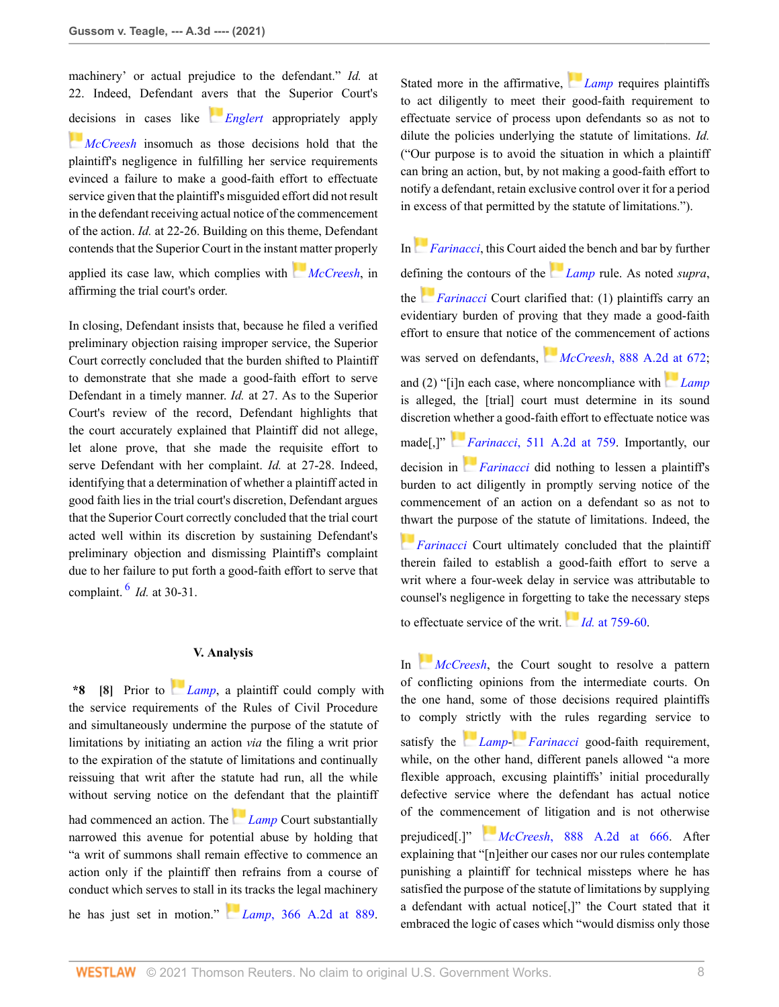machinery' or actual prejudice to the defendant." *Id.* at 22. Indeed, Defendant a[vers](https://1.next.westlaw.com/Link/RelatedInformation/Flag?documentGuid=I8bcf2aa641dd11dcab5dc95700b89bde&transitionType=InlineKeyCiteFlags&originationContext=docHeaderFlag&Rank=0&contextData=(sc.Search) ) that the Superior Court's [dec](https://1.next.westlaw.com/Link/RelatedInformation/Flag?documentGuid=I026a95ec778b11da8ccab4c14e983401&transitionType=InlineKeyCiteFlags&originationContext=docHeaderFlag&Rank=0&contextData=(sc.Search) )isions in cases like *[Englert](http://www.westlaw.com/Link/Document/FullText?findType=Y&serNum=2012846930&pubNum=0000162&originatingDoc=If51d35a08d7e11eb8c2cff889eaa90d0&refType=RP&originationContext=document&vr=3.0&rs=cblt1.0&transitionType=DocumentItem&contextData=(sc.Search))* appropriately apply *[McCreesh](http://www.westlaw.com/Link/Document/FullText?findType=Y&serNum=2007972629&pubNum=0000162&originatingDoc=If51d35a08d7e11eb8c2cff889eaa90d0&refType=RP&originationContext=document&vr=3.0&rs=cblt1.0&transitionType=DocumentItem&contextData=(sc.Search))* insomuch as those decisions hold that the plaintiff's negligence in fulfilling her service requirements evinced a failure to make a good-faith effort to effectuate service given that the plaintiff's misguided effort did not result in the defendant receiving actual notice of the commencement of the action. *Id.* at 22-26. Building on this theme, Defendant contends that the Superior Court in the insta[nt m](https://1.next.westlaw.com/Link/RelatedInformation/Flag?documentGuid=I026a95ec778b11da8ccab4c14e983401&transitionType=InlineKeyCiteFlags&originationContext=docHeaderFlag&Rank=0&contextData=(sc.Search) )atter properly

applied its case law, which complies with *[McCreesh](http://www.westlaw.com/Link/Document/FullText?findType=Y&serNum=2007972629&pubNum=0000162&originatingDoc=If51d35a08d7e11eb8c2cff889eaa90d0&refType=RP&originationContext=document&vr=3.0&rs=cblt1.0&transitionType=DocumentItem&contextData=(sc.Search))*, in affirming the trial court's order.

In closing, Defendant insists that, because he filed a verified preliminary objection raising improper service, the Superior Court correctly concluded that the burden shifted to Plaintiff to demonstrate that she made a good-faith effort to serve Defendant in a timely manner. *Id.* at 27. As to the Superior Court's review of the record, Defendant highlights that the court accurately explained that Plaintiff did not allege, let alone prove, that she made the requisite effort to serve Defendant with her complaint. *Id.* at 27-28. Indeed, identifying that a determination of whether a plaintiff acted in good faith lies in the trial court's discretion, Defendant argues that the Superior Court correctly concluded that the trial court acted well within its discretion by sustaining Defendant's preliminary objection and dismissing Plaintiff's complaint due to her failure to put forth a good-faith effort to serve that complaint. [6](#page-12-0) *Id.* at 30-31.

#### <span id="page-7-1"></span>**V. Analysis**

<span id="page-7-0"></span>**\*8 [\[8\]](#page-1-4)** Prior to *[Lamp](http://www.westlaw.com/Link/Document/FullText?findType=Y&serNum=1976122354&pubNum=0000162&originatingDoc=If51d35a08d7e11eb8c2cff889eaa90d0&refType=RP&originationContext=document&vr=3.0&rs=cblt1.0&transitionType=DocumentItem&contextData=(sc.Search))*, a plaintiff could comply with the service requirements of the Rules of Civil Procedure and simultaneously undermine the purpose of the statute of limitations by initiating an action *via* the filing a writ prior to the expiration of the statute of limitations and continually reissuing that writ after the statute had run, all the while without serving notice on the [def](https://1.next.westlaw.com/Link/RelatedInformation/Flag?documentGuid=I5710abaa343d11d98b61a35269fc5f88&transitionType=InlineKeyCiteFlags&originationContext=docHeaderFlag&Rank=0&contextData=(sc.Search) )endant that the plaintiff had commenced an action. The *[Lamp](http://www.westlaw.com/Link/Document/FullText?findType=Y&serNum=1976122354&pubNum=0000162&originatingDoc=If51d35a08d7e11eb8c2cff889eaa90d0&refType=RP&originationContext=document&vr=3.0&rs=cblt1.0&transitionType=DocumentItem&contextData=(sc.Search))* Court substantially narrowed this avenue for potential abuse by holding that "a writ of summons shall remain effective to commence an action only if the plaintiff then refrains from a course of conduct which serves to stall i[n its](https://1.next.westlaw.com/Link/RelatedInformation/Flag?documentGuid=I5710abaa343d11d98b61a35269fc5f88&transitionType=InlineKeyCiteFlags&originationContext=docHeaderFlag&Rank=0&contextData=(sc.Search) ) tracks the legal machinery he has just set in motion." *Lamp*[, 366 A.2d at 889](http://www.westlaw.com/Link/Document/FullText?findType=Y&serNum=1976122354&pubNum=0000162&originatingDoc=If51d35a08d7e11eb8c2cff889eaa90d0&refType=RP&fi=co_pp_sp_162_889&originationContext=document&vr=3.0&rs=cblt1.0&transitionType=DocumentItem&contextData=(sc.Search)#co_pp_sp_162_889).

Stated more in the affirmative, *[Lamp](http://www.westlaw.com/Link/Document/FullText?findType=Y&serNum=1976122354&pubNum=0000162&originatingDoc=If51d35a08d7e11eb8c2cff889eaa90d0&refType=RP&originationContext=document&vr=3.0&rs=cblt1.0&transitionType=DocumentItem&contextData=(sc.Search))* requires plaintiffs to act diligently to meet their good-faith requirement to effectuate service of process upon defendants so as not to dilute the policies underlying the statute of limitations. *Id.* ("Our purpose is to avoid the situation in which a plaintiff can bring an action, but, by not making a good-faith effort to notify a defendant, retain exclusive control over it for a period in excess of that permitted by the statute of limitations.").

In*[Farinacci](http://www.westlaw.com/Link/Document/FullText?findType=Y&serNum=1986132548&pubNum=0000162&originatingDoc=If51d35a08d7e11eb8c2cff889eaa90d0&refType=RP&originationContext=document&vr=3.0&rs=cblt1.0&transitionType=DocumentItem&contextData=(sc.Search))*, this Court ai[ded](https://1.next.westlaw.com/Link/RelatedInformation/Flag?documentGuid=I5710abaa343d11d98b61a35269fc5f88&transitionType=InlineKeyCiteFlags&originationContext=docHeaderFlag&Rank=0&contextData=(sc.Search) ) the bench and bar by further defi[nin](https://1.next.westlaw.com/Link/RelatedInformation/Flag?documentGuid=I71c4bab6349511d98b61a35269fc5f88&transitionType=InlineKeyCiteFlags&originationContext=docHeaderFlag&Rank=0&contextData=(sc.Search) )g the contours of the *[Lamp](http://www.westlaw.com/Link/Document/FullText?findType=Y&serNum=1976122354&pubNum=0000162&originatingDoc=If51d35a08d7e11eb8c2cff889eaa90d0&refType=RP&originationContext=document&vr=3.0&rs=cblt1.0&transitionType=DocumentItem&contextData=(sc.Search))* rule. As noted *supra*, the *[Farinacci](http://www.westlaw.com/Link/Document/FullText?findType=Y&serNum=1986132548&pubNum=0000162&originatingDoc=If51d35a08d7e11eb8c2cff889eaa90d0&refType=RP&originationContext=document&vr=3.0&rs=cblt1.0&transitionType=DocumentItem&contextData=(sc.Search))* Court clarified that: (1) plaintiffs carry an evidentiary burden of proving that they made a good-faith effort to ensure that notice [of th](https://1.next.westlaw.com/Link/RelatedInformation/Flag?documentGuid=I026a95ec778b11da8ccab4c14e983401&transitionType=InlineKeyCiteFlags&originationContext=docHeaderFlag&Rank=0&contextData=(sc.Search) )e commencement of actions was served on defendants, *McCreesh*[, 888 A.2d at 672](http://www.westlaw.com/Link/Document/FullText?findType=Y&serNum=2007972629&pubNum=0000162&originatingDoc=If51d35a08d7e11eb8c2cff889eaa90d0&refType=RP&fi=co_pp_sp_162_672&originationContext=document&vr=3.0&rs=cblt1.0&transitionType=DocumentItem&contextData=(sc.Search)#co_pp_sp_162_672); and (2) "[i]n each case, where noncompliance with *[Lamp](http://www.westlaw.com/Link/Document/FullText?findType=Y&serNum=1976122354&pubNum=0000162&originatingDoc=If51d35a08d7e11eb8c2cff889eaa90d0&refType=RP&originationContext=document&vr=3.0&rs=cblt1.0&transitionType=DocumentItem&contextData=(sc.Search))* is alleged, the [trial] court must determine in its sound discretion [wh](https://1.next.westlaw.com/Link/RelatedInformation/Flag?documentGuid=I71c4bab6349511d98b61a35269fc5f88&transitionType=InlineKeyCiteFlags&originationContext=docHeaderFlag&Rank=0&contextData=(sc.Search) )ether a good-faith effort to effectuate notice was made[,]" *[Fa](https://1.next.westlaw.com/Link/RelatedInformation/Flag?documentGuid=I71c4bab6349511d98b61a35269fc5f88&transitionType=InlineKeyCiteFlags&originationContext=docHeaderFlag&Rank=0&contextData=(sc.Search) )rinacci*[, 511 A.2d at 759](http://www.westlaw.com/Link/Document/FullText?findType=Y&serNum=1986132548&pubNum=0000162&originatingDoc=If51d35a08d7e11eb8c2cff889eaa90d0&refType=RP&fi=co_pp_sp_162_759&originationContext=document&vr=3.0&rs=cblt1.0&transitionType=DocumentItem&contextData=(sc.Search)#co_pp_sp_162_759). Importantly, our decision in *[Farinacci](http://www.westlaw.com/Link/Document/FullText?findType=Y&serNum=1986132548&pubNum=0000162&originatingDoc=If51d35a08d7e11eb8c2cff889eaa90d0&refType=RP&originationContext=document&vr=3.0&rs=cblt1.0&transitionType=DocumentItem&contextData=(sc.Search))* did nothing to lessen a plaintiff's burden to act diligently in promptly serving notice of the commencement of an action on a defendant so as not to [thw](https://1.next.westlaw.com/Link/RelatedInformation/Flag?documentGuid=I71c4bab6349511d98b61a35269fc5f88&transitionType=InlineKeyCiteFlags&originationContext=docHeaderFlag&Rank=0&contextData=(sc.Search) )art the purpose of the statute of limitations. Indeed, the *[Farinacci](http://www.westlaw.com/Link/Document/FullText?findType=Y&serNum=1986132548&pubNum=0000162&originatingDoc=If51d35a08d7e11eb8c2cff889eaa90d0&refType=RP&originationContext=document&vr=3.0&rs=cblt1.0&transitionType=DocumentItem&contextData=(sc.Search))* Court ultimately concluded that the plaintiff therein failed to establish a good-faith effort to serve a writ where a four-week delay in service was attributable to counsel's negligence in forgetti[ng to](https://1.next.westlaw.com/Link/RelatedInformation/Flag?documentGuid=I71c4bab6349511d98b61a35269fc5f88&transitionType=InlineKeyCiteFlags&originationContext=docHeaderFlag&Rank=0&contextData=(sc.Search) ) take the necessary steps to effectuate service of the writ. *Id.* [at 759-60](http://www.westlaw.com/Link/Document/FullText?findType=Y&serNum=1986132548&pubNum=0000162&originatingDoc=If51d35a08d7e11eb8c2cff889eaa90d0&refType=RP&fi=co_pp_sp_162_759&originationContext=document&vr=3.0&rs=cblt1.0&transitionType=DocumentItem&contextData=(sc.Search)#co_pp_sp_162_759).

In *[McCreesh](http://www.westlaw.com/Link/Document/FullText?findType=Y&serNum=2007972629&pubNum=0000162&originatingDoc=If51d35a08d7e11eb8c2cff889eaa90d0&refType=RP&originationContext=document&vr=3.0&rs=cblt1.0&transitionType=DocumentItem&contextData=(sc.Search))*, the Court sought to resolve a pattern of conflicting opinions from the intermediate courts. On the one hand, some of those decisions required plaintiffs to comply [stri](https://1.next.westlaw.com/Link/RelatedInformation/Flag?documentGuid=I5710abaa343d11d98b61a35269fc5f88&transitionType=InlineKeyCiteFlags&originationContext=docHeaderFlag&Rank=0&contextData=(sc.Search) )ctly [with](https://1.next.westlaw.com/Link/RelatedInformation/Flag?documentGuid=I71c4bab6349511d98b61a35269fc5f88&transitionType=InlineKeyCiteFlags&originationContext=docHeaderFlag&Rank=0&contextData=(sc.Search) ) the rules regarding service to satisfy the *[Lamp](http://www.westlaw.com/Link/Document/FullText?findType=Y&serNum=1976122354&originatingDoc=If51d35a08d7e11eb8c2cff889eaa90d0&refType=RP&originationContext=document&vr=3.0&rs=cblt1.0&transitionType=DocumentItem&contextData=(sc.Search))*- *[Farinacci](http://www.westlaw.com/Link/Document/FullText?findType=Y&serNum=1986132548&originatingDoc=If51d35a08d7e11eb8c2cff889eaa90d0&refType=RP&originationContext=document&vr=3.0&rs=cblt1.0&transitionType=DocumentItem&contextData=(sc.Search))* good-faith requirement, while, on the other hand, different panels allowed "a more flexible approach, excusing plaintiffs' initial procedurally defective service where the defendant has actual notice of the comme[ncem](https://1.next.westlaw.com/Link/RelatedInformation/Flag?documentGuid=I026a95ec778b11da8ccab4c14e983401&transitionType=InlineKeyCiteFlags&originationContext=docHeaderFlag&Rank=0&contextData=(sc.Search) )ent of litigation and is not otherwise prejudiced[.]" *McCreesh*[, 888 A.2d at 666.](http://www.westlaw.com/Link/Document/FullText?findType=Y&serNum=2007972629&pubNum=0000162&originatingDoc=If51d35a08d7e11eb8c2cff889eaa90d0&refType=RP&fi=co_pp_sp_162_666&originationContext=document&vr=3.0&rs=cblt1.0&transitionType=DocumentItem&contextData=(sc.Search)#co_pp_sp_162_666) After explaining that "[n]either our cases nor our rules contemplate punishing a plaintiff for technical missteps where he has satisfied the purpose of the statute of limitations by supplying a defendant with actual notice[,]" the Court stated that it embraced the logic of cases which "would dismiss only those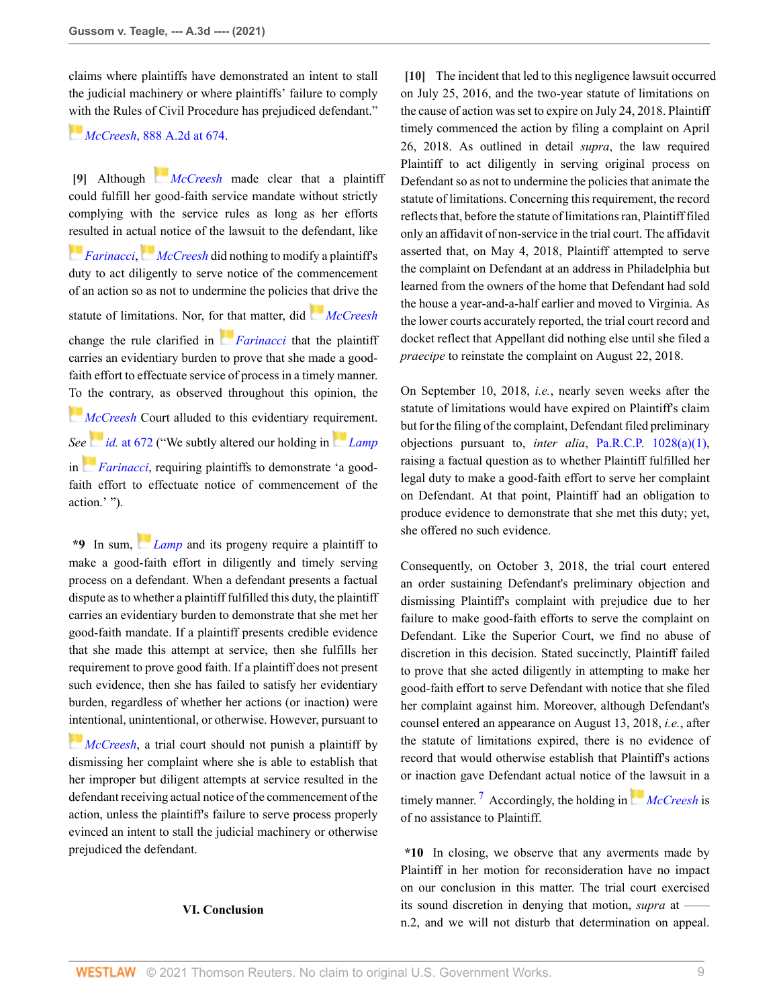claims where plaintiffs have demonstrated an intent to stall the judicial machinery or where plaintiffs' failure to comply [with](https://1.next.westlaw.com/Link/RelatedInformation/Flag?documentGuid=I026a95ec778b11da8ccab4c14e983401&transitionType=InlineKeyCiteFlags&originationContext=docHeaderFlag&Rank=0&contextData=(sc.Search) ) the Rules of Civil Procedure has prejudiced defendant."

# *McCreesh*[, 888 A.2d at 674.](http://www.westlaw.com/Link/Document/FullText?findType=Y&serNum=2007972629&pubNum=0000162&originatingDoc=If51d35a08d7e11eb8c2cff889eaa90d0&refType=RP&fi=co_pp_sp_162_674&originationContext=document&vr=3.0&rs=cblt1.0&transitionType=DocumentItem&contextData=(sc.Search)#co_pp_sp_162_674)

<span id="page-8-0"></span>**[\[9\]](#page-1-5)** Although *[McCreesh](http://www.westlaw.com/Link/Document/FullText?findType=Y&serNum=2007972629&pubNum=0000162&originatingDoc=If51d35a08d7e11eb8c2cff889eaa90d0&refType=RP&originationContext=document&vr=3.0&rs=cblt1.0&transitionType=DocumentItem&contextData=(sc.Search))* made clear that a plaintiff could fulfill her good-faith service mandate without strictly complying with the service rules as long as her efforts [resu](https://1.next.westlaw.com/Link/RelatedInformation/Flag?documentGuid=I71c4bab6349511d98b61a35269fc5f88&transitionType=InlineKeyCiteFlags&originationContext=docHeaderFlag&Rank=0&contextData=(sc.Search) )lted in ac[tual](https://1.next.westlaw.com/Link/RelatedInformation/Flag?documentGuid=I026a95ec778b11da8ccab4c14e983401&transitionType=InlineKeyCiteFlags&originationContext=docHeaderFlag&Rank=0&contextData=(sc.Search) ) notice of the lawsuit to the defendant, like *[Farinacci](http://www.westlaw.com/Link/Document/FullText?findType=Y&serNum=1986132548&pubNum=0000162&originatingDoc=If51d35a08d7e11eb8c2cff889eaa90d0&refType=RP&originationContext=document&vr=3.0&rs=cblt1.0&transitionType=DocumentItem&contextData=(sc.Search))*, *[McCreesh](http://www.westlaw.com/Link/Document/FullText?findType=Y&serNum=2007972629&pubNum=0000162&originatingDoc=If51d35a08d7e11eb8c2cff889eaa90d0&refType=RP&originationContext=document&vr=3.0&rs=cblt1.0&transitionType=DocumentItem&contextData=(sc.Search))* did nothing to modify a plaintiff's duty to act diligently to serve notice of the commencement of an action so as not to undermine the policies [tha](https://1.next.westlaw.com/Link/RelatedInformation/Flag?documentGuid=I026a95ec778b11da8ccab4c14e983401&transitionType=InlineKeyCiteFlags&originationContext=docHeaderFlag&Rank=0&contextData=(sc.Search) )t drive the statute of limitations. Nor, fo[r th](https://1.next.westlaw.com/Link/RelatedInformation/Flag?documentGuid=I71c4bab6349511d98b61a35269fc5f88&transitionType=InlineKeyCiteFlags&originationContext=docHeaderFlag&Rank=0&contextData=(sc.Search) )at matter, did *[McCreesh](http://www.westlaw.com/Link/Document/FullText?findType=Y&serNum=2007972629&pubNum=0000162&originatingDoc=If51d35a08d7e11eb8c2cff889eaa90d0&refType=RP&originationContext=document&vr=3.0&rs=cblt1.0&transitionType=DocumentItem&contextData=(sc.Search))* change the rule clarified in *[Farinacci](http://www.westlaw.com/Link/Document/FullText?findType=Y&serNum=1986132548&pubNum=0000162&originatingDoc=If51d35a08d7e11eb8c2cff889eaa90d0&refType=RP&originationContext=document&vr=3.0&rs=cblt1.0&transitionType=DocumentItem&contextData=(sc.Search))* that the plaintiff carries an evidentiary burden to prove that she made a goodfaith effort to effectuate service of process in a timely manner. [To](https://1.next.westlaw.com/Link/RelatedInformation/Flag?documentGuid=I026a95ec778b11da8ccab4c14e983401&transitionType=InlineKeyCiteFlags&originationContext=docHeaderFlag&Rank=0&contextData=(sc.Search) ) the contrary, as observed throughout this opinion, the *[McCreesh](http://www.westlaw.com/Link/Document/FullText?findType=Y&serNum=2007972629&pubNum=0000162&originatingDoc=If51d35a08d7e11eb8c2cff889eaa90d0&refType=RP&originationContext=document&vr=3.0&rs=cblt1.0&transitionType=DocumentItem&contextData=(sc.Search))* Court alluded to this evidentiary req[uire](https://1.next.westlaw.com/Link/RelatedInformation/Flag?documentGuid=I5710abaa343d11d98b61a35269fc5f88&transitionType=InlineKeyCiteFlags&originationContext=docHeaderFlag&Rank=0&contextData=(sc.Search) )ment. *Se[e](https://1.next.westlaw.com/Link/RelatedInformation/Flag?documentGuid=I71c4bab6349511d98b61a35269fc5f88&transitionType=InlineKeyCiteFlags&originationContext=docHeaderFlag&Rank=0&contextData=(sc.Search) )id.* [at 672](http://www.westlaw.com/Link/Document/FullText?findType=Y&serNum=2007972629&pubNum=0000162&originatingDoc=If51d35a08d7e11eb8c2cff889eaa90d0&refType=RP&fi=co_pp_sp_162_672&originationContext=document&vr=3.0&rs=cblt1.0&transitionType=DocumentItem&contextData=(sc.Search)#co_pp_sp_162_672) ("We subtly altered our holding in *[Lamp](http://www.westlaw.com/Link/Document/FullText?findType=Y&serNum=1976122354&pubNum=0000162&originatingDoc=If51d35a08d7e11eb8c2cff889eaa90d0&refType=RP&originationContext=document&vr=3.0&rs=cblt1.0&transitionType=DocumentItem&contextData=(sc.Search))* in *[Farinacci](http://www.westlaw.com/Link/Document/FullText?findType=Y&serNum=1986132548&pubNum=0000162&originatingDoc=If51d35a08d7e11eb8c2cff889eaa90d0&refType=RP&originationContext=document&vr=3.0&rs=cblt1.0&transitionType=DocumentItem&contextData=(sc.Search))*, requiring plaintiffs to demonstrate 'a goodfaith effort to effectuate notice of commencement of the action.' ").

**\*9** In sum, *[Lamp](http://www.westlaw.com/Link/Document/FullText?findType=Y&serNum=1976122354&pubNum=0000162&originatingDoc=If51d35a08d7e11eb8c2cff889eaa90d0&refType=RP&originationContext=document&vr=3.0&rs=cblt1.0&transitionType=DocumentItem&contextData=(sc.Search))* and its progeny require a plaintiff to make a good-faith effort in diligently and timely serving process on a defendant. When a defendant presents a factual dispute as to whether a plaintiff fulfilled this duty, the plaintiff carries an evidentiary burden to demonstrate that she met her good-faith mandate. If a plaintiff presents credible evidence that she made this attempt at service, then she fulfills her requirement to prove good faith. If a plaintiff does not present such evidence, then she has failed to satisfy her evidentiary burden, regardless of whether her actions (or inaction) were [inte](https://1.next.westlaw.com/Link/RelatedInformation/Flag?documentGuid=I026a95ec778b11da8ccab4c14e983401&transitionType=InlineKeyCiteFlags&originationContext=docHeaderFlag&Rank=0&contextData=(sc.Search) )ntional, unintentional, or otherwise. However, pursuant to

*[McCreesh](http://www.westlaw.com/Link/Document/FullText?findType=Y&serNum=2007972629&pubNum=0000162&originatingDoc=If51d35a08d7e11eb8c2cff889eaa90d0&refType=RP&originationContext=document&vr=3.0&rs=cblt1.0&transitionType=DocumentItem&contextData=(sc.Search))*, a trial court should not punish a plaintiff by dismissing her complaint where she is able to establish that her improper but diligent attempts at service resulted in the defendant receiving actual notice of the commencement of the action, unless the plaintiff's failure to serve process properly evinced an intent to stall the judicial machinery or otherwise prejudiced the defendant.

# **VI. Conclusion**

<span id="page-8-1"></span>**[\[10\]](#page-1-0)** The incident that led to this negligence lawsuit occurred on July 25, 2016, and the two-year statute of limitations on the cause of action was set to expire on July 24, 2018. Plaintiff timely commenced the action by filing a complaint on April 26, 2018. As outlined in detail *supra*, the law required Plaintiff to act diligently in serving original process on Defendant so as not to undermine the policies that animate the statute of limitations. Concerning this requirement, the record reflects that, before the statute of limitations ran, Plaintiff filed only an affidavit of non-service in the trial court. The affidavit asserted that, on May 4, 2018, Plaintiff attempted to serve the complaint on Defendant at an address in Philadelphia but learned from the owners of the home that Defendant had sold the house a year-and-a-half earlier and moved to Virginia. As the lower courts accurately reported, the trial court record and docket reflect that Appellant did nothing else until she filed a *praecipe* to reinstate the complaint on August 22, 2018.

On September 10, 2018, *i.e.*, nearly seven weeks after the statute of limitations would have expired on Plaintiff's claim but for the filing of the complaint, Defendant filed preliminary objections pursuant to, *inter alia*, [Pa.R.C.P. 1028\(a\)\(1\)](http://www.westlaw.com/Link/Document/FullText?findType=L&pubNum=1000781&cite=PASTRCPR1028&originatingDoc=If51d35a08d7e11eb8c2cff889eaa90d0&refType=LQ&originationContext=document&vr=3.0&rs=cblt1.0&transitionType=DocumentItem&contextData=(sc.Search)), raising a factual question as to whether Plaintiff fulfilled her legal duty to make a good-faith effort to serve her complaint on Defendant. At that point, Plaintiff had an obligation to produce evidence to demonstrate that she met this duty; yet, she offered no such evidence.

Consequently, on October 3, 2018, the trial court entered an order sustaining Defendant's preliminary objection and dismissing Plaintiff's complaint with prejudice due to her failure to make good-faith efforts to serve the complaint on Defendant. Like the Superior Court, we find no abuse of discretion in this decision. Stated succinctly, Plaintiff failed to prove that she acted diligently in attempting to make her good-faith effort to serve Defendant with notice that she filed her complaint against him. Moreover, although Defendant's counsel entered an appearance on August 13, 2018, *i.e.*, after the statute of limitations expired, there is no evidence of record that would otherwise establish that Plaintiff's actions or inaction gave Defendant actual notice of [the](https://1.next.westlaw.com/Link/RelatedInformation/Flag?documentGuid=I026a95ec778b11da8ccab4c14e983401&transitionType=InlineKeyCiteFlags&originationContext=docHeaderFlag&Rank=0&contextData=(sc.Search) ) lawsuit in a timely manner. [7](#page-12-1) Accordingly, the holding in *[McCreesh](http://www.westlaw.com/Link/Document/FullText?findType=Y&serNum=2007972629&pubNum=0000162&originatingDoc=If51d35a08d7e11eb8c2cff889eaa90d0&refType=RP&originationContext=document&vr=3.0&rs=cblt1.0&transitionType=DocumentItem&contextData=(sc.Search))* is of no assistance to Plaintiff.

<span id="page-8-2"></span>**\*10** In closing, we observe that any averments made by Plaintiff in her motion for reconsideration have no impact on our conclusion in this matter. The trial court exercised its sound discretion in denying that motion, *supra* at n.2, and we will not disturb that determination on appeal.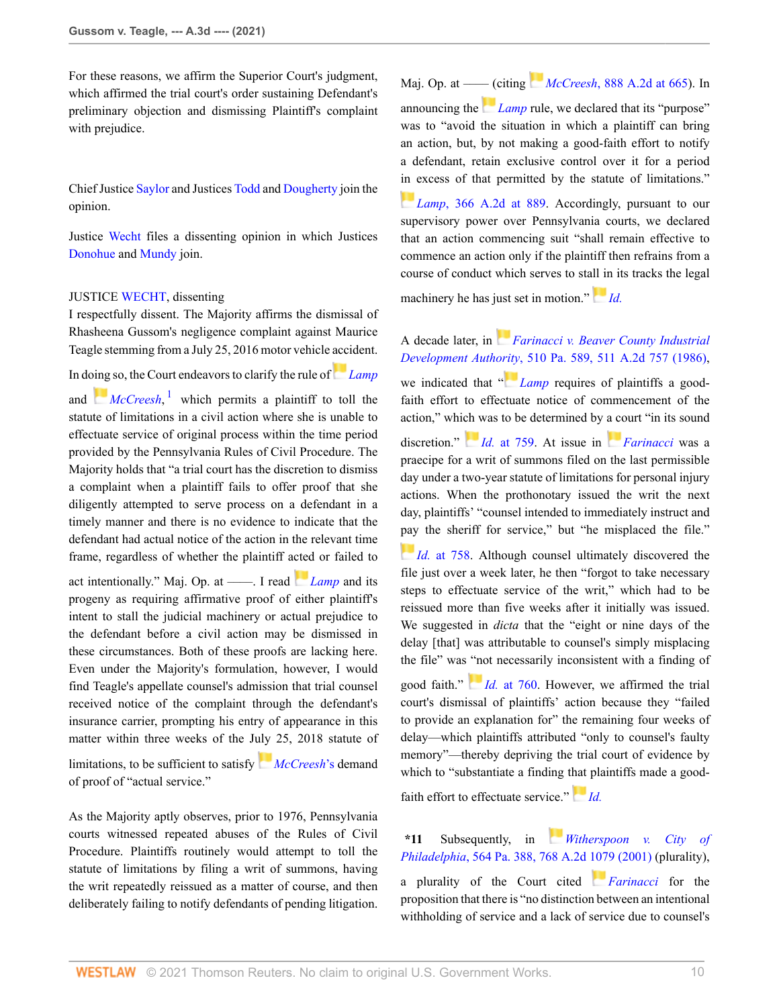For these reasons, we affirm the Superior Court's judgment, which affirmed the trial court's order sustaining Defendant's preliminary objection and dismissing Plaintiff's complaint with prejudice.

Chief Justice [Saylor](http://www.westlaw.com/Link/Document/FullText?findType=h&pubNum=176284&cite=0192902301&originatingDoc=If51d35a08d7e11eb8c2cff889eaa90d0&refType=RQ&originationContext=document&vr=3.0&rs=cblt1.0&transitionType=DocumentItem&contextData=(sc.Search)) and Justices [Todd](http://www.westlaw.com/Link/Document/FullText?findType=h&pubNum=176284&cite=0122314401&originatingDoc=If51d35a08d7e11eb8c2cff889eaa90d0&refType=RQ&originationContext=document&vr=3.0&rs=cblt1.0&transitionType=DocumentItem&contextData=(sc.Search)) and [Dougherty](http://www.westlaw.com/Link/Document/FullText?findType=h&pubNum=176284&cite=0331102601&originatingDoc=If51d35a08d7e11eb8c2cff889eaa90d0&refType=RQ&originationContext=document&vr=3.0&rs=cblt1.0&transitionType=DocumentItem&contextData=(sc.Search)) join the opinion.

Justice [Wecht](http://www.westlaw.com/Link/Document/FullText?findType=h&pubNum=176284&cite=0233113401&originatingDoc=If51d35a08d7e11eb8c2cff889eaa90d0&refType=RQ&originationContext=document&vr=3.0&rs=cblt1.0&transitionType=DocumentItem&contextData=(sc.Search)) files a dissenting opinion in which Justices [Donohue](http://www.westlaw.com/Link/Document/FullText?findType=h&pubNum=176284&cite=0330011401&originatingDoc=If51d35a08d7e11eb8c2cff889eaa90d0&refType=RQ&originationContext=document&vr=3.0&rs=cblt1.0&transitionType=DocumentItem&contextData=(sc.Search)) and [Mundy](http://www.westlaw.com/Link/Document/FullText?findType=h&pubNum=176284&cite=0143555101&originatingDoc=If51d35a08d7e11eb8c2cff889eaa90d0&refType=RQ&originationContext=document&vr=3.0&rs=cblt1.0&transitionType=DocumentItem&contextData=(sc.Search)) join.

# JUSTICE [WECHT,](http://www.westlaw.com/Link/Document/FullText?findType=h&pubNum=176284&cite=0233113401&originatingDoc=If51d35a08d7e11eb8c2cff889eaa90d0&refType=RQ&originationContext=document&vr=3.0&rs=cblt1.0&transitionType=DocumentItem&contextData=(sc.Search)) dissenting

I respectfully dissent. The Majority affirms the dismissal of Rhasheena Gussom's negligence complaint against Maurice Teagle stemming from a July 25, 2016 motor vehicle accident.

In d[oing](https://1.next.westlaw.com/Link/RelatedInformation/Flag?documentGuid=I026a95ec778b11da8ccab4c14e983401&transitionType=InlineKeyCiteFlags&originationContext=docHeaderFlag&Rank=0&contextData=(sc.Search) ) so, the Court endeavors to clarify the rule of*[Lamp](http://www.westlaw.com/Link/Document/FullText?findType=Y&serNum=1976122354&pubNum=0000162&originatingDoc=If51d35a08d7e11eb8c2cff889eaa90d0&refType=RP&originationContext=document&vr=3.0&rs=cblt1.0&transitionType=DocumentItem&contextData=(sc.Search))*

<span id="page-9-0"></span>and *[McCreesh](http://www.westlaw.com/Link/Document/FullText?findType=Y&serNum=2007972629&pubNum=0000162&originatingDoc=If51d35a08d7e11eb8c2cff889eaa90d0&refType=RP&originationContext=document&vr=3.0&rs=cblt1.0&transitionType=DocumentItem&contextData=(sc.Search))*,<sup>[1](#page-12-2)</sup> which permits a plaintiff to toll the statute of limitations in a civil action where she is unable to effectuate service of original process within the time period provided by the Pennsylvania Rules of Civil Procedure. The Majority holds that "a trial court has the discretion to dismiss a complaint when a plaintiff fails to offer proof that she diligently attempted to serve process on a defendant in a timely manner and there is no evidence to indicate that the defendant had actual notice of the action in the relevant time frame, regardless of whether the plaintiff a[cted](https://1.next.westlaw.com/Link/RelatedInformation/Flag?documentGuid=I5710abaa343d11d98b61a35269fc5f88&transitionType=InlineKeyCiteFlags&originationContext=docHeaderFlag&Rank=0&contextData=(sc.Search) ) or failed to act intentionally." Maj. Op. at ——. I read *[Lamp](http://www.westlaw.com/Link/Document/FullText?findType=Y&serNum=1976122354&pubNum=0000162&originatingDoc=If51d35a08d7e11eb8c2cff889eaa90d0&refType=RP&originationContext=document&vr=3.0&rs=cblt1.0&transitionType=DocumentItem&contextData=(sc.Search))* and its

progeny as requiring affirmative proof of either plaintiff's intent to stall the judicial machinery or actual prejudice to the defendant before a civil action may be dismissed in these circumstances. Both of these proofs are lacking here. Even under the Majority's formulation, however, I would find Teagle's appellate counsel's admission that trial counsel received notice of the complaint through the defendant's insurance carrier, prompting his entry of appearance in this matter within three weeks of the J[uly](https://1.next.westlaw.com/Link/RelatedInformation/Flag?documentGuid=I026a95ec778b11da8ccab4c14e983401&transitionType=InlineKeyCiteFlags&originationContext=docHeaderFlag&Rank=0&contextData=(sc.Search) ) 25, 2018 statute of

limitations, to be sufficient to satisfy *[McCreesh](http://www.westlaw.com/Link/Document/FullText?findType=Y&serNum=2007972629&originatingDoc=If51d35a08d7e11eb8c2cff889eaa90d0&refType=RP&originationContext=document&vr=3.0&rs=cblt1.0&transitionType=DocumentItem&contextData=(sc.Search))*'s demand of proof of "actual service."

As the Majority aptly observes, prior to 1976, Pennsylvania courts witnessed repeated abuses of the Rules of Civil Procedure. Plaintiffs routinely would attempt to toll the statute of limitations by filing a writ of summons, having the writ repeatedly reissued as a matter of course, and then deliberately failing to notify defendants of pending litigation. Maj. Op. at ––[–– \(c](https://1.next.westlaw.com/Link/RelatedInformation/Flag?documentGuid=I5710abaa343d11d98b61a35269fc5f88&transitionType=InlineKeyCiteFlags&originationContext=docHeaderFlag&Rank=0&contextData=(sc.Search) )iting *McCreesh*[, 888 A.2d at 665\)](http://www.westlaw.com/Link/Document/FullText?findType=Y&serNum=2007972629&pubNum=0000162&originatingDoc=If51d35a08d7e11eb8c2cff889eaa90d0&refType=RP&fi=co_pp_sp_162_665&originationContext=document&vr=3.0&rs=cblt1.0&transitionType=DocumentItem&contextData=(sc.Search)#co_pp_sp_162_665). In announcing the *[Lamp](http://www.westlaw.com/Link/Document/FullText?findType=Y&serNum=1976122354&pubNum=0000162&originatingDoc=If51d35a08d7e11eb8c2cff889eaa90d0&refType=RP&originationContext=document&vr=3.0&rs=cblt1.0&transitionType=DocumentItem&contextData=(sc.Search))* rule, we declared that its "purpose" was to "avoid the situation in which a plaintiff can bring an action, but, by not making a good-faith effort to notify a defendant, retain exclusive control over it for a period [in e](https://1.next.westlaw.com/Link/RelatedInformation/Flag?documentGuid=I5710abaa343d11d98b61a35269fc5f88&transitionType=InlineKeyCiteFlags&originationContext=docHeaderFlag&Rank=0&contextData=(sc.Search) )xcess of that permitted by the statute of limitations."

**Lamp**[, 366 A.2d at 889](http://www.westlaw.com/Link/Document/FullText?findType=Y&serNum=1976122354&pubNum=0000162&originatingDoc=If51d35a08d7e11eb8c2cff889eaa90d0&refType=RP&fi=co_pp_sp_162_889&originationContext=document&vr=3.0&rs=cblt1.0&transitionType=DocumentItem&contextData=(sc.Search)#co_pp_sp_162_889). Accordingly, pursuant to our supervisory power over Pennsylvania courts, we declared that an action commencing suit "shall remain effective to commence an action only if the plaintiff then refrains from a course of conduct which serves to sta[ll in](https://1.next.westlaw.com/Link/RelatedInformation/Flag?documentGuid=I5710abaa343d11d98b61a35269fc5f88&transitionType=InlineKeyCiteFlags&originationContext=docHeaderFlag&Rank=0&contextData=(sc.Search) ) its tracks the legal

machinery he has just set in motion." *[Id.](http://www.westlaw.com/Link/Document/FullText?findType=Y&serNum=1976122354&pubNum=0000651&originatingDoc=If51d35a08d7e11eb8c2cff889eaa90d0&refType=RP&originationContext=document&vr=3.0&rs=cblt1.0&transitionType=DocumentItem&contextData=(sc.Search))*

A decade later, in *[Farinacci v. Beaver County Industrial](http://www.westlaw.com/Link/Document/FullText?findType=Y&serNum=1986132548&pubNum=0000162&originatingDoc=If51d35a08d7e11eb8c2cff889eaa90d0&refType=RP&originationContext=document&vr=3.0&rs=cblt1.0&transitionType=DocumentItem&contextData=(sc.Search)) Development Autho[rity](https://1.next.westlaw.com/Link/RelatedInformation/Flag?documentGuid=I5710abaa343d11d98b61a35269fc5f88&transitionType=InlineKeyCiteFlags&originationContext=docHeaderFlag&Rank=0&contextData=(sc.Search) )*[, 510 Pa. 589, 511 A.2d 757 \(1986\)](http://www.westlaw.com/Link/Document/FullText?findType=Y&serNum=1986132548&pubNum=0000162&originatingDoc=If51d35a08d7e11eb8c2cff889eaa90d0&refType=RP&originationContext=document&vr=3.0&rs=cblt1.0&transitionType=DocumentItem&contextData=(sc.Search)), we indicated that " *[Lamp](http://www.westlaw.com/Link/Document/FullText?findType=Y&serNum=1976122354&pubNum=0000162&originatingDoc=If51d35a08d7e11eb8c2cff889eaa90d0&refType=RP&originationContext=document&vr=3.0&rs=cblt1.0&transitionType=DocumentItem&contextData=(sc.Search))* requires of plaintiffs a goodfaith effort to effectuate notice of commencement of the action," whi[ch w](https://1.next.westlaw.com/Link/RelatedInformation/Flag?documentGuid=I71c4bab6349511d98b61a35269fc5f88&transitionType=InlineKeyCiteFlags&originationContext=docHeaderFlag&Rank=0&contextData=(sc.Search) )as to be determined by [a co](https://1.next.westlaw.com/Link/RelatedInformation/Flag?documentGuid=I71c4bab6349511d98b61a35269fc5f88&transitionType=InlineKeyCiteFlags&originationContext=docHeaderFlag&Rank=0&contextData=(sc.Search) )urt "in its sound discretion." *Id.* [at 759.](http://www.westlaw.com/Link/Document/FullText?findType=Y&serNum=1986132548&pubNum=0000162&originatingDoc=If51d35a08d7e11eb8c2cff889eaa90d0&refType=RP&fi=co_pp_sp_162_759&originationContext=document&vr=3.0&rs=cblt1.0&transitionType=DocumentItem&contextData=(sc.Search)#co_pp_sp_162_759) At issue in *[Farinacci](http://www.westlaw.com/Link/Document/FullText?findType=Y&serNum=1986132548&pubNum=0000162&originatingDoc=If51d35a08d7e11eb8c2cff889eaa90d0&refType=RP&originationContext=document&vr=3.0&rs=cblt1.0&transitionType=DocumentItem&contextData=(sc.Search))* was a praecipe for a writ of summons filed on the last permissible day under a two-year statute of limitations for personal injury actions. When the prothonotary issued the writ the next day, plaintiffs' "counsel intended to immediately instruct and [pay](https://1.next.westlaw.com/Link/RelatedInformation/Flag?documentGuid=I71c4bab6349511d98b61a35269fc5f88&transitionType=InlineKeyCiteFlags&originationContext=docHeaderFlag&Rank=0&contextData=(sc.Search) ) the sheriff for service," but "he misplaced the file."

*Id.* [at 758](http://www.westlaw.com/Link/Document/FullText?findType=Y&serNum=1986132548&pubNum=0000162&originatingDoc=If51d35a08d7e11eb8c2cff889eaa90d0&refType=RP&fi=co_pp_sp_162_758&originationContext=document&vr=3.0&rs=cblt1.0&transitionType=DocumentItem&contextData=(sc.Search)#co_pp_sp_162_758). Although counsel ultimately discovered the file just over a week later, he then "forgot to take necessary steps to effectuate service of the writ," which had to be reissued more than five weeks after it initially was issued. We suggested in *dicta* that the "eight or nine days of the delay [that] was attributable to counsel's simply misplacing the file" was ["no](https://1.next.westlaw.com/Link/RelatedInformation/Flag?documentGuid=I71c4bab6349511d98b61a35269fc5f88&transitionType=InlineKeyCiteFlags&originationContext=docHeaderFlag&Rank=0&contextData=(sc.Search) )t necessarily inconsistent with a finding of

good faith." *Id.* [at 760](http://www.westlaw.com/Link/Document/FullText?findType=Y&serNum=1986132548&pubNum=0000162&originatingDoc=If51d35a08d7e11eb8c2cff889eaa90d0&refType=RP&fi=co_pp_sp_162_760&originationContext=document&vr=3.0&rs=cblt1.0&transitionType=DocumentItem&contextData=(sc.Search)#co_pp_sp_162_760). However, we affirmed the trial court's dismissal of plaintiffs' action because they "failed to provide an explanation for" the remaining four weeks of delay—which plaintiffs attributed "only to counsel's faulty memory"—thereby depriving the trial court of evidence by which to "substantiate a finding t[hat](https://1.next.westlaw.com/Link/RelatedInformation/Flag?documentGuid=I71c4bab6349511d98b61a35269fc5f88&transitionType=InlineKeyCiteFlags&originationContext=docHeaderFlag&Rank=0&contextData=(sc.Search) ) plaintiffs made a good-

faith effort to effectuate service." *[Id.](http://www.westlaw.com/Link/Document/FullText?findType=Y&serNum=1986132548&pubNum=0000651&originatingDoc=If51d35a08d7e11eb8c2cff889eaa90d0&refType=RP&originationContext=document&vr=3.0&rs=cblt1.0&transitionType=DocumentItem&contextData=(sc.Search))*

**\*11** Subsequently, in *[Witherspoon v. City of](http://www.westlaw.com/Link/Document/FullText?findType=Y&serNum=2001254538&pubNum=0000162&originatingDoc=If51d35a08d7e11eb8c2cff889eaa90d0&refType=RP&originationContext=document&vr=3.0&rs=cblt1.0&transitionType=DocumentItem&contextData=(sc.Search)) Philadelphia*[, 564 Pa. 388, 768 A.2d 1079 \(2001\)](http://www.westlaw.com/Link/Document/FullText?findType=Y&serNum=2001254538&pubNum=0000162&originatingDoc=If51d35a08d7e11eb8c2cff889eaa90d0&refType=RP&originationContext=document&vr=3.0&rs=cblt1.0&transitionType=DocumentItem&contextData=(sc.Search)) (plurality),

a plurality of the Court cited *[Farinacci](http://www.westlaw.com/Link/Document/FullText?findType=Y&serNum=1986132548&pubNum=0000162&originatingDoc=If51d35a08d7e11eb8c2cff889eaa90d0&refType=RP&originationContext=document&vr=3.0&rs=cblt1.0&transitionType=DocumentItem&contextData=(sc.Search))* for the proposition that there is "no distinction between an intentional withholding of service and a lack of service due to counsel's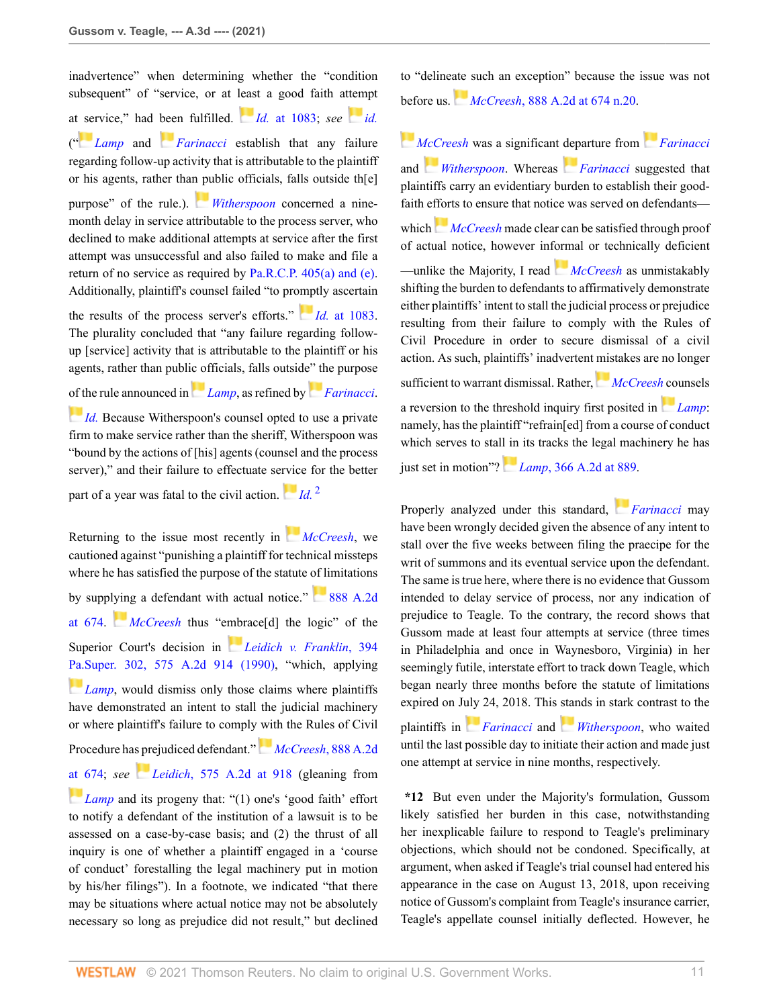inadvertence" when determining whether the "condition subsequent" of "service, or at [leas](https://1.next.westlaw.com/Link/RelatedInformation/Flag?documentGuid=I7f58152132c711d98b61a35269fc5f88&transitionType=InlineKeyCiteFlags&originationContext=docHeaderFlag&Rank=0&contextData=(sc.Search) )t a good faith attempt at [ser](https://1.next.westlaw.com/Link/RelatedInformation/Flag?documentGuid=I5710abaa343d11d98b61a35269fc5f88&transitionType=InlineKeyCiteFlags&originationContext=docHeaderFlag&Rank=0&contextData=(sc.Search) )vice," had [bee](https://1.next.westlaw.com/Link/RelatedInformation/Flag?documentGuid=I71c4bab6349511d98b61a35269fc5f88&transitionType=InlineKeyCiteFlags&originationContext=docHeaderFlag&Rank=0&contextData=(sc.Search) )n fulfilled. *Id.* [at 1083;](http://www.westlaw.com/Link/Document/FullText?findType=Y&serNum=2001254538&pubNum=0000162&originatingDoc=If51d35a08d7e11eb8c2cff889eaa90d0&refType=RP&fi=co_pp_sp_162_1083&originationContext=document&vr=3.0&rs=cblt1.0&transitionType=DocumentItem&contextData=(sc.Search)#co_pp_sp_162_1083) *see [id.](http://www.westlaw.com/Link/Document/FullText?findType=Y&serNum=2001254538&pubNum=0000651&originatingDoc=If51d35a08d7e11eb8c2cff889eaa90d0&refType=RP&originationContext=document&vr=3.0&rs=cblt1.0&transitionType=DocumentItem&contextData=(sc.Search))* (" *[Lamp](http://www.westlaw.com/Link/Document/FullText?findType=Y&serNum=1976122354&pubNum=0000162&originatingDoc=If51d35a08d7e11eb8c2cff889eaa90d0&refType=RP&originationContext=document&vr=3.0&rs=cblt1.0&transitionType=DocumentItem&contextData=(sc.Search))* and *[Farinacci](http://www.westlaw.com/Link/Document/FullText?findType=Y&serNum=1986132548&pubNum=0000162&originatingDoc=If51d35a08d7e11eb8c2cff889eaa90d0&refType=RP&originationContext=document&vr=3.0&rs=cblt1.0&transitionType=DocumentItem&contextData=(sc.Search))* establish that any failure regarding follow-up activity that is attributable to the plaintiff or his agents, rather tha[n pu](https://1.next.westlaw.com/Link/RelatedInformation/Flag?documentGuid=I7f58152132c711d98b61a35269fc5f88&transitionType=InlineKeyCiteFlags&originationContext=docHeaderFlag&Rank=0&contextData=(sc.Search) )blic officials, falls outside th[e] purpose" of the rule.). *[Witherspoon](http://www.westlaw.com/Link/Document/FullText?findType=Y&serNum=2001254538&pubNum=0000162&originatingDoc=If51d35a08d7e11eb8c2cff889eaa90d0&refType=RP&originationContext=document&vr=3.0&rs=cblt1.0&transitionType=DocumentItem&contextData=(sc.Search))* concerned a ninemonth delay in service attributable to the process server, who declined to make additional attempts at service after the first attempt was unsuccessful and also failed to make and file a return of no service as required by [Pa.R.C.P. 405\(a\) and \(e\)](http://www.westlaw.com/Link/Document/FullText?findType=L&pubNum=1000781&cite=PASTRCPR405&originatingDoc=If51d35a08d7e11eb8c2cff889eaa90d0&refType=LQ&originationContext=document&vr=3.0&rs=cblt1.0&transitionType=DocumentItem&contextData=(sc.Search)). Additionally, plaintiff's counsel failed "to pr[omp](https://1.next.westlaw.com/Link/RelatedInformation/Flag?documentGuid=I7f58152132c711d98b61a35269fc5f88&transitionType=InlineKeyCiteFlags&originationContext=docHeaderFlag&Rank=0&contextData=(sc.Search) )tly ascertain the results of the process server's efforts." *Id.* [at 1083](http://www.westlaw.com/Link/Document/FullText?findType=Y&serNum=2001254538&pubNum=0000162&originatingDoc=If51d35a08d7e11eb8c2cff889eaa90d0&refType=RP&fi=co_pp_sp_162_1083&originationContext=document&vr=3.0&rs=cblt1.0&transitionType=DocumentItem&contextData=(sc.Search)#co_pp_sp_162_1083). The plurality concluded that "any failure regarding followup [service] activity that is attributable to the plaintiff or his agents, rather than publ[ic of](https://1.next.westlaw.com/Link/RelatedInformation/Flag?documentGuid=I5710abaa343d11d98b61a35269fc5f88&transitionType=InlineKeyCiteFlags&originationContext=docHeaderFlag&Rank=0&contextData=(sc.Search) )ficials, falls outsid[e" th](https://1.next.westlaw.com/Link/RelatedInformation/Flag?documentGuid=I71c4bab6349511d98b61a35269fc5f88&transitionType=InlineKeyCiteFlags&originationContext=docHeaderFlag&Rank=0&contextData=(sc.Search) )e purpose [of th](https://1.next.westlaw.com/Link/RelatedInformation/Flag?documentGuid=I7f58152132c711d98b61a35269fc5f88&transitionType=InlineKeyCiteFlags&originationContext=docHeaderFlag&Rank=0&contextData=(sc.Search) )e rule announced in *[Lamp](http://www.westlaw.com/Link/Document/FullText?findType=Y&serNum=1976122354&pubNum=0000162&originatingDoc=If51d35a08d7e11eb8c2cff889eaa90d0&refType=RP&originationContext=document&vr=3.0&rs=cblt1.0&transitionType=DocumentItem&contextData=(sc.Search))*, as refined by *[Farinacci](http://www.westlaw.com/Link/Document/FullText?findType=Y&serNum=1986132548&pubNum=0000162&originatingDoc=If51d35a08d7e11eb8c2cff889eaa90d0&refType=RP&originationContext=document&vr=3.0&rs=cblt1.0&transitionType=DocumentItem&contextData=(sc.Search))*. *[Id.](http://www.westlaw.com/Link/Document/FullText?findType=Y&serNum=2001254538&pubNum=0000651&originatingDoc=If51d35a08d7e11eb8c2cff889eaa90d0&refType=RP&originationContext=document&vr=3.0&rs=cblt1.0&transitionType=DocumentItem&contextData=(sc.Search))* Because Witherspoon's counsel opted to use a private firm to make service rather than the sheriff, Witherspoon was "bound by the actions of [his] agents (counsel and the process server)," and their failure to effectuate se[rvic](https://1.next.westlaw.com/Link/RelatedInformation/Flag?documentGuid=I7f58152132c711d98b61a35269fc5f88&transitionType=InlineKeyCiteFlags&originationContext=docHeaderFlag&Rank=0&contextData=(sc.Search) )e for the better part of a year was fatal to the civil action.  $\frac{1}{\sqrt{d}}$ .<sup>[2](#page-12-3)</sup>

Returning to the issue most recently in *[McCreesh](http://www.westlaw.com/Link/Document/FullText?findType=Y&serNum=2007972629&pubNum=0000162&originatingDoc=If51d35a08d7e11eb8c2cff889eaa90d0&refType=RP&originationContext=document&vr=3.0&rs=cblt1.0&transitionType=DocumentItem&contextData=(sc.Search))*, we cautioned against "punishing a plaintiff for technical missteps where he has satisfied the purpose of the statute of limitations by supp[lyin](https://1.next.westlaw.com/Link/RelatedInformation/Flag?documentGuid=I026a95ec778b11da8ccab4c14e983401&transitionType=InlineKeyCiteFlags&originationContext=docHeaderFlag&Rank=0&contextData=(sc.Search) )g a defendant with actual notice."  $888$  A.2d [at 674](http://www.westlaw.com/Link/Document/FullText?findType=Y&serNum=2007972629&pubNum=0000162&originatingDoc=If51d35a08d7e11eb8c2cff889eaa90d0&refType=RP&fi=co_pp_sp_162_674&originationContext=document&vr=3.0&rs=cblt1.0&transitionType=DocumentItem&contextData=(sc.Search)#co_pp_sp_162_674). *[McCreesh](http://www.westlaw.com/Link/Document/FullText?findType=Y&serNum=2007972629&pubNum=0000162&originatingDoc=If51d35a08d7e11eb8c2cff889eaa90d0&refType=RP&originationContext=document&vr=3.0&rs=cblt1.0&transitionType=DocumentItem&contextData=(sc.Search))* thus "e[mbr](https://1.next.westlaw.com/Link/RelatedInformation/Flag?documentGuid=I2893773234dd11d986b0aa9c82c164c0&transitionType=InlineKeyCiteFlags&originationContext=docHeaderFlag&Rank=0&contextData=(sc.Search) )ace[d] the logic" of the Superior Court's decision in *[Leidich v. Franklin](http://www.westlaw.com/Link/Document/FullText?findType=Y&serNum=1990082319&pubNum=0000162&originatingDoc=If51d35a08d7e11eb8c2cff889eaa90d0&refType=RP&originationContext=document&vr=3.0&rs=cblt1.0&transitionType=DocumentItem&contextData=(sc.Search))*, 394 [Pa.Super. 302, 575 A.2d 914 \(1990\)](http://www.westlaw.com/Link/Document/FullText?findType=Y&serNum=1990082319&pubNum=0000162&originatingDoc=If51d35a08d7e11eb8c2cff889eaa90d0&refType=RP&originationContext=document&vr=3.0&rs=cblt1.0&transitionType=DocumentItem&contextData=(sc.Search)), "which, applying *[Lamp](http://www.westlaw.com/Link/Document/FullText?findType=Y&serNum=1976122354&pubNum=0000162&originatingDoc=If51d35a08d7e11eb8c2cff889eaa90d0&refType=RP&originationContext=document&vr=3.0&rs=cblt1.0&transitionType=DocumentItem&contextData=(sc.Search))*, would dismiss only those claims where plaintiffs have demonstrated an intent to stall the judicial machinery or where plaintiff's failure to comply with the Rules of Civil Procedure has prejudiced defendant."*McCreesh*[, 888 A.2d](http://www.westlaw.com/Link/Document/FullText?findType=Y&serNum=2007972629&pubNum=0000162&originatingDoc=If51d35a08d7e11eb8c2cff889eaa90d0&refType=RP&fi=co_pp_sp_162_674&originationContext=document&vr=3.0&rs=cblt1.0&transitionType=DocumentItem&contextData=(sc.Search)#co_pp_sp_162_674) [at 674](http://www.westlaw.com/Link/Document/FullText?findType=Y&serNum=2007972629&pubNum=0000162&originatingDoc=If51d35a08d7e11eb8c2cff889eaa90d0&refType=RP&fi=co_pp_sp_162_674&originationContext=document&vr=3.0&rs=cblt1.0&transitionType=DocumentItem&contextData=(sc.Search)#co_pp_sp_162_674); *see [L](https://1.next.westlaw.com/Link/RelatedInformation/Flag?documentGuid=I2893773234dd11d986b0aa9c82c164c0&transitionType=InlineKeyCiteFlags&originationContext=docHeaderFlag&Rank=0&contextData=(sc.Search) )eidich*[, 575 A.2d at 918](http://www.westlaw.com/Link/Document/FullText?findType=Y&serNum=1990082319&pubNum=0000162&originatingDoc=If51d35a08d7e11eb8c2cff889eaa90d0&refType=RP&fi=co_pp_sp_162_918&originationContext=document&vr=3.0&rs=cblt1.0&transitionType=DocumentItem&contextData=(sc.Search)#co_pp_sp_162_918) (gleaning from *[Lamp](http://www.westlaw.com/Link/Document/FullText?findType=Y&serNum=1976122354&pubNum=0000162&originatingDoc=If51d35a08d7e11eb8c2cff889eaa90d0&refType=RP&originationContext=document&vr=3.0&rs=cblt1.0&transitionType=DocumentItem&contextData=(sc.Search))* and its progeny that: "(1) one's 'good faith' effort to notify a defendant of the institution of a lawsuit is to be assessed on a case-by-case basis; and (2) the thrust of all inquiry is one of whether a plaintiff engaged in a 'course of conduct' forestalling the legal machinery put in motion by his/her filings"). In a footnote, we indicated "that there may be situations where actual notice may not be absolutely necessary so long as prejudice did not result," but declined to "deline[ate](https://1.next.westlaw.com/Link/RelatedInformation/Flag?documentGuid=I026a95ec778b11da8ccab4c14e983401&transitionType=InlineKeyCiteFlags&originationContext=docHeaderFlag&Rank=0&contextData=(sc.Search) ) such an exception" because the issue was not before us. *McCreesh*[, 888 A.2d at 674 n.20.](http://www.westlaw.com/Link/Document/FullText?findType=Y&serNum=2007972629&pubNum=0000162&originatingDoc=If51d35a08d7e11eb8c2cff889eaa90d0&refType=RP&fi=co_pp_sp_162_674&originationContext=document&vr=3.0&rs=cblt1.0&transitionType=DocumentItem&contextData=(sc.Search)#co_pp_sp_162_674)

*[McCreesh](http://www.westlaw.com/Link/Document/FullText?findType=Y&serNum=2007972629&pubNum=0000162&originatingDoc=If51d35a08d7e11eb8c2cff889eaa90d0&refType=RP&originationContext=document&vr=3.0&rs=cblt1.0&transitionType=DocumentItem&contextData=(sc.Search))* was a significant [dep](https://1.next.westlaw.com/Link/RelatedInformation/Flag?documentGuid=I71c4bab6349511d98b61a35269fc5f88&transitionType=InlineKeyCiteFlags&originationContext=docHeaderFlag&Rank=0&contextData=(sc.Search) )arture from *[Farinacci](http://www.westlaw.com/Link/Document/FullText?findType=Y&serNum=1986132548&pubNum=0000162&originatingDoc=If51d35a08d7e11eb8c2cff889eaa90d0&refType=RP&originationContext=document&vr=3.0&rs=cblt1.0&transitionType=DocumentItem&contextData=(sc.Search))* and *[Witherspoon](http://www.westlaw.com/Link/Document/FullText?findType=Y&serNum=2001254538&pubNum=0000162&originatingDoc=If51d35a08d7e11eb8c2cff889eaa90d0&refType=RP&originationContext=document&vr=3.0&rs=cblt1.0&transitionType=DocumentItem&contextData=(sc.Search))*. Whereas *[Farinacci](http://www.westlaw.com/Link/Document/FullText?findType=Y&serNum=1986132548&pubNum=0000162&originatingDoc=If51d35a08d7e11eb8c2cff889eaa90d0&refType=RP&originationContext=document&vr=3.0&rs=cblt1.0&transitionType=DocumentItem&contextData=(sc.Search))* suggested that plaintiffs carry an evidentiary burden to establish their goodfaith efforts to ensure that notice was served on defendants— which*[McCreesh](http://www.westlaw.com/Link/Document/FullText?findType=Y&serNum=2007972629&pubNum=0000162&originatingDoc=If51d35a08d7e11eb8c2cff889eaa90d0&refType=RP&originationContext=document&vr=3.0&rs=cblt1.0&transitionType=DocumentItem&contextData=(sc.Search))* made clear can be satisfied through proof of actual notice, however inf[orm](https://1.next.westlaw.com/Link/RelatedInformation/Flag?documentGuid=I026a95ec778b11da8ccab4c14e983401&transitionType=InlineKeyCiteFlags&originationContext=docHeaderFlag&Rank=0&contextData=(sc.Search) )al or technically deficient —unlike the Majority, I read *[McCreesh](http://www.westlaw.com/Link/Document/FullText?findType=Y&serNum=2007972629&pubNum=0000162&originatingDoc=If51d35a08d7e11eb8c2cff889eaa90d0&refType=RP&originationContext=document&vr=3.0&rs=cblt1.0&transitionType=DocumentItem&contextData=(sc.Search))* as unmistakably shifting the burden to defendants to affirmatively demonstrate either plaintiffs' intent to stall the judicial process or prejudice resulting from their failure to comply with the Rules of Civil Procedure in order to secure dismissal of a civil action. As such, plaintiffs' inadvertent [mis](https://1.next.westlaw.com/Link/RelatedInformation/Flag?documentGuid=I026a95ec778b11da8ccab4c14e983401&transitionType=InlineKeyCiteFlags&originationContext=docHeaderFlag&Rank=0&contextData=(sc.Search) )takes are no longer sufficient to warrant dismissal. Rather, *[McCreesh](http://www.westlaw.com/Link/Document/FullText?findType=Y&serNum=2007972629&pubNum=0000162&originatingDoc=If51d35a08d7e11eb8c2cff889eaa90d0&refType=RP&originationContext=document&vr=3.0&rs=cblt1.0&transitionType=DocumentItem&contextData=(sc.Search))* [co](https://1.next.westlaw.com/Link/RelatedInformation/Flag?documentGuid=I5710abaa343d11d98b61a35269fc5f88&transitionType=InlineKeyCiteFlags&originationContext=docHeaderFlag&Rank=0&contextData=(sc.Search) )unsels a reversion to the threshold inquiry first posited in *[Lamp](http://www.westlaw.com/Link/Document/FullText?findType=Y&serNum=1976122354&pubNum=0000162&originatingDoc=If51d35a08d7e11eb8c2cff889eaa90d0&refType=RP&originationContext=document&vr=3.0&rs=cblt1.0&transitionType=DocumentItem&contextData=(sc.Search))*: namely, has the plaintiff "refrain[ed] from a course of conduct which serves to stal[l in](https://1.next.westlaw.com/Link/RelatedInformation/Flag?documentGuid=I5710abaa343d11d98b61a35269fc5f88&transitionType=InlineKeyCiteFlags&originationContext=docHeaderFlag&Rank=0&contextData=(sc.Search) ) its tracks the legal machinery he has just set in motion"? *Lamp*[, 366 A.2d at 889](http://www.westlaw.com/Link/Document/FullText?findType=Y&serNum=1976122354&pubNum=0000162&originatingDoc=If51d35a08d7e11eb8c2cff889eaa90d0&refType=RP&fi=co_pp_sp_162_889&originationContext=document&vr=3.0&rs=cblt1.0&transitionType=DocumentItem&contextData=(sc.Search)#co_pp_sp_162_889).

<span id="page-10-0"></span>Properly analyzed under this standard, *[Farinacci](http://www.westlaw.com/Link/Document/FullText?findType=Y&serNum=1986132548&pubNum=0000162&originatingDoc=If51d35a08d7e11eb8c2cff889eaa90d0&refType=RP&originationContext=document&vr=3.0&rs=cblt1.0&transitionType=DocumentItem&contextData=(sc.Search))* may have been wrongly decided given the absence of any intent to stall over the five weeks between filing the praecipe for the writ of summons and its eventual service upon the defendant. The same is true here, where there is no evidence that Gussom intended to delay service of process, nor any indication of prejudice to Teagle. To the contrary, the record shows that Gussom made at least four attempts at service (three times in Philadelphia and once in Waynesboro, Virginia) in her seemingly futile, interstate effort to track down Teagle, which began nearly three months before the statute of limitations expired on J[uly](https://1.next.westlaw.com/Link/RelatedInformation/Flag?documentGuid=I71c4bab6349511d98b61a35269fc5f88&transitionType=InlineKeyCiteFlags&originationContext=docHeaderFlag&Rank=0&contextData=(sc.Search) ) 24, 2018. This [stan](https://1.next.westlaw.com/Link/RelatedInformation/Flag?documentGuid=I7f58152132c711d98b61a35269fc5f88&transitionType=InlineKeyCiteFlags&originationContext=docHeaderFlag&Rank=0&contextData=(sc.Search) )ds in stark contrast to the plaintiffs in *[Farinacci](http://www.westlaw.com/Link/Document/FullText?findType=Y&serNum=1986132548&pubNum=0000162&originatingDoc=If51d35a08d7e11eb8c2cff889eaa90d0&refType=RP&originationContext=document&vr=3.0&rs=cblt1.0&transitionType=DocumentItem&contextData=(sc.Search))* and *[Witherspoon](http://www.westlaw.com/Link/Document/FullText?findType=Y&serNum=2001254538&pubNum=0000162&originatingDoc=If51d35a08d7e11eb8c2cff889eaa90d0&refType=RP&originationContext=document&vr=3.0&rs=cblt1.0&transitionType=DocumentItem&contextData=(sc.Search))*, who waited until the last possible day to initiate their action and made just one attempt at service in nine months, respectively.

**\*12** But even under the Majority's formulation, Gussom likely satisfied her burden in this case, notwithstanding her inexplicable failure to respond to Teagle's preliminary objections, which should not be condoned. Specifically, at argument, when asked if Teagle's trial counsel had entered his appearance in the case on August 13, 2018, upon receiving notice of Gussom's complaint from Teagle's insurance carrier, Teagle's appellate counsel initially deflected. However, he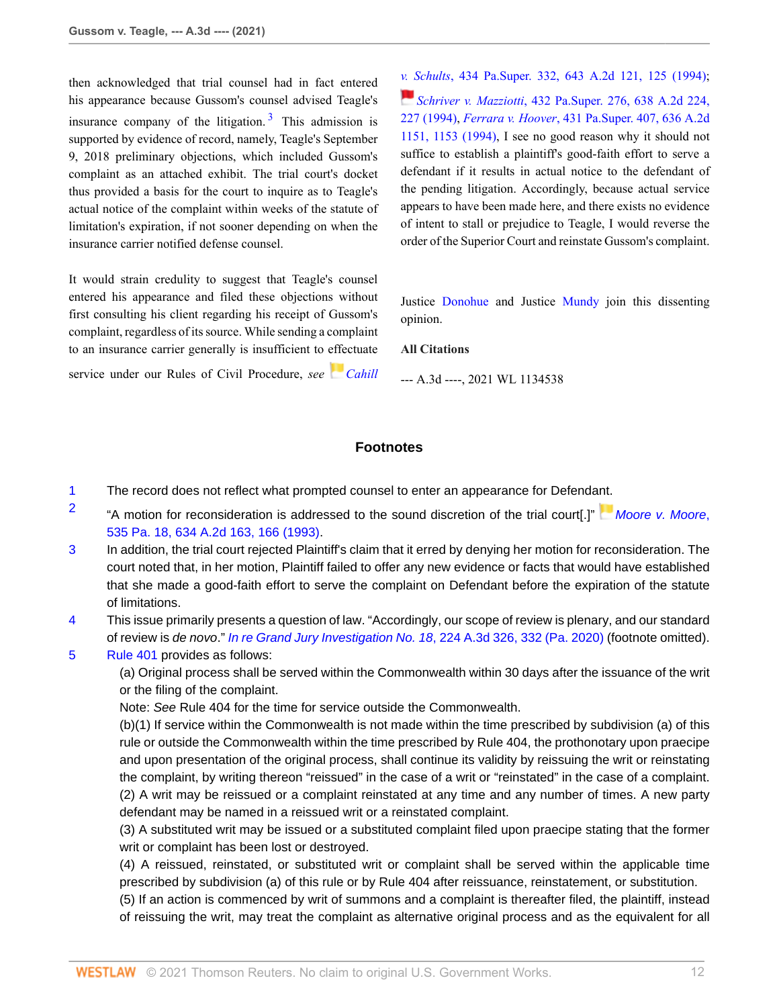then acknowledged that trial counsel had in fact entered his appearance because Gussom's counsel advised Teagle's insurance company of the litigation.<sup>[3](#page-12-4)</sup> This admission is supported by evidence of record, namely, Teagle's September 9, 2018 preliminary objections, which included Gussom's complaint as an attached exhibit. The trial court's docket thus provided a basis for the court to inquire as to Teagle's actual notice of the complaint within weeks of the statute of limitation's expiration, if not sooner depending on when the insurance carrier notified defense counsel.

It would strain credulity to suggest that Teagle's counsel entered his appearance and filed these objections without first consulting his client regarding his receipt of Gussom's complaint, regardless of its source. While sending a complaint to an insurance carrier generally is insufficient to effectuate

service under our Rules of Civil Procedure, see *[Cahill](http://www.westlaw.com/Link/Document/FullText?findType=Y&serNum=1994124160&pubNum=0000162&originatingDoc=If51d35a08d7e11eb8c2cff889eaa90d0&refType=RP&fi=co_pp_sp_162_125&originationContext=document&vr=3.0&rs=cblt1.0&transitionType=DocumentItem&contextData=(sc.Search)#co_pp_sp_162_125)* 

<span id="page-11-5"></span>*[v. S](https://1.next.westlaw.com/Link/RelatedInformation/Flag?documentGuid=Iecabf9e5353611d98b61a35269fc5f88&transitionType=InlineKeyCiteFlags&originationContext=docHeaderFlag&Rank=0&contextData=(sc.Search) )chults*[, 434 Pa.Super. 332, 643 A.2d 121, 125 \(1994\)](http://www.westlaw.com/Link/Document/FullText?findType=Y&serNum=1994124160&pubNum=0000162&originatingDoc=If51d35a08d7e11eb8c2cff889eaa90d0&refType=RP&fi=co_pp_sp_162_125&originationContext=document&vr=3.0&rs=cblt1.0&transitionType=DocumentItem&contextData=(sc.Search)#co_pp_sp_162_125); *Schriver v. Mazziotti*[, 432 Pa.Super. 276, 638 A.2d 224,](http://www.westlaw.com/Link/Document/FullText?findType=Y&serNum=1994038460&pubNum=0000162&originatingDoc=If51d35a08d7e11eb8c2cff889eaa90d0&refType=RP&fi=co_pp_sp_162_227&originationContext=document&vr=3.0&rs=cblt1.0&transitionType=DocumentItem&contextData=(sc.Search)#co_pp_sp_162_227) [227 \(1994\)](http://www.westlaw.com/Link/Document/FullText?findType=Y&serNum=1994038460&pubNum=0000162&originatingDoc=If51d35a08d7e11eb8c2cff889eaa90d0&refType=RP&fi=co_pp_sp_162_227&originationContext=document&vr=3.0&rs=cblt1.0&transitionType=DocumentItem&contextData=(sc.Search)#co_pp_sp_162_227), *Ferrara v. Hoover*[, 431 Pa.Super. 407, 636 A.2d](http://www.westlaw.com/Link/Document/FullText?findType=Y&serNum=1994038449&pubNum=0000162&originatingDoc=If51d35a08d7e11eb8c2cff889eaa90d0&refType=RP&fi=co_pp_sp_162_1153&originationContext=document&vr=3.0&rs=cblt1.0&transitionType=DocumentItem&contextData=(sc.Search)#co_pp_sp_162_1153) [1151, 1153 \(1994\)](http://www.westlaw.com/Link/Document/FullText?findType=Y&serNum=1994038449&pubNum=0000162&originatingDoc=If51d35a08d7e11eb8c2cff889eaa90d0&refType=RP&fi=co_pp_sp_162_1153&originationContext=document&vr=3.0&rs=cblt1.0&transitionType=DocumentItem&contextData=(sc.Search)#co_pp_sp_162_1153), I see no good reason why it should not suffice to establish a plaintiff's good-faith effort to serve a defendant if it results in actual notice to the defendant of the pending litigation. Accordingly, because actual service appears to have been made here, and there exists no evidence of intent to stall or prejudice to Teagle, I would reverse the order of the Superior Court and reinstate Gussom's complaint.

Justice [Donohue](http://www.westlaw.com/Link/Document/FullText?findType=h&pubNum=176284&cite=0330011401&originatingDoc=If51d35a08d7e11eb8c2cff889eaa90d0&refType=RQ&originationContext=document&vr=3.0&rs=cblt1.0&transitionType=DocumentItem&contextData=(sc.Search)) and Justice [Mundy](http://www.westlaw.com/Link/Document/FullText?findType=h&pubNum=176284&cite=0143555101&originatingDoc=If51d35a08d7e11eb8c2cff889eaa90d0&refType=RQ&originationContext=document&vr=3.0&rs=cblt1.0&transitionType=DocumentItem&contextData=(sc.Search)) join this dissenting opinion.

# **All Citations**

--- A.3d ----, 2021 WL 1134538

# **Footnotes**

- <span id="page-11-0"></span>[1](#page-3-1) The record does not reflect what prompted counsel to enter an appearance for Defenda[nt.](https://1.next.westlaw.com/Link/RelatedInformation/Flag?documentGuid=Ica0af0f4352f11d9abe5ec754599669c&transitionType=InlineKeyCiteFlags&originationContext=docHeaderFlag&Rank=0&contextData=(sc.Search) )
- <span id="page-11-1"></span>[2](#page-3-2) "A motion for reconsideration is addressed to the sound discretion of the trial court[.]" [Moore v. Moore](http://www.westlaw.com/Link/Document/FullText?findType=Y&serNum=1993225742&pubNum=0000162&originatingDoc=If51d35a08d7e11eb8c2cff889eaa90d0&refType=RP&fi=co_pp_sp_162_166&originationContext=document&vr=3.0&rs=cblt1.0&transitionType=DocumentItem&contextData=(sc.Search)#co_pp_sp_162_166), [535 Pa. 18, 634 A.2d 163, 166 \(1993\)](http://www.westlaw.com/Link/Document/FullText?findType=Y&serNum=1993225742&pubNum=0000162&originatingDoc=If51d35a08d7e11eb8c2cff889eaa90d0&refType=RP&fi=co_pp_sp_162_166&originationContext=document&vr=3.0&rs=cblt1.0&transitionType=DocumentItem&contextData=(sc.Search)#co_pp_sp_162_166).
- <span id="page-11-2"></span>[3](#page-4-0) In addition, the trial court rejected Plaintiff's claim that it erred by denying her motion for reconsideration. The court noted that, in her motion, Plaintiff failed to offer any new evidence or facts that would have established that she made a good-faith effort to serve the complaint on Defendant before the expiration of the statute of limitations.
- <span id="page-11-3"></span>[4](#page-5-1) This issue primarily presents a question of law. "Accordingly, our scope of review is plenary, and our standard of review is de novo." [In re Grand Jury Investigation No. 18](http://www.westlaw.com/Link/Document/FullText?findType=Y&serNum=2050162278&pubNum=0007691&originatingDoc=If51d35a08d7e11eb8c2cff889eaa90d0&refType=RP&fi=co_pp_sp_7691_332&originationContext=document&vr=3.0&rs=cblt1.0&transitionType=DocumentItem&contextData=(sc.Search)#co_pp_sp_7691_332), 224 A.3d 326, 332 (Pa. 2020) (footnote omitted).
- <span id="page-11-4"></span>[5](#page-5-2) [Rule 401](http://www.westlaw.com/Link/Document/FullText?findType=L&pubNum=1000781&cite=PASTRCPR401&originatingDoc=If51d35a08d7e11eb8c2cff889eaa90d0&refType=LQ&originationContext=document&vr=3.0&rs=cblt1.0&transitionType=DocumentItem&contextData=(sc.Search)) provides as follows:

(a) Original process shall be served within the Commonwealth within 30 days after the issuance of the writ or the filing of the complaint.

Note: See Rule 404 for the time for service outside the Commonwealth.

(b)(1) If service within the Commonwealth is not made within the time prescribed by subdivision (a) of this rule or outside the Commonwealth within the time prescribed by Rule 404, the prothonotary upon praecipe and upon presentation of the original process, shall continue its validity by reissuing the writ or reinstating the complaint, by writing thereon "reissued" in the case of a writ or "reinstated" in the case of a complaint. (2) A writ may be reissued or a complaint reinstated at any time and any number of times. A new party defendant may be named in a reissued writ or a reinstated complaint.

(3) A substituted writ may be issued or a substituted complaint filed upon praecipe stating that the former writ or complaint has been lost or destroyed.

(4) A reissued, reinstated, or substituted writ or complaint shall be served within the applicable time prescribed by subdivision (a) of this rule or by Rule 404 after reissuance, reinstatement, or substitution.

(5) If an action is commenced by writ of summons and a complaint is thereafter filed, the plaintiff, instead of reissuing the writ, may treat the complaint as alternative original process and as the equivalent for all